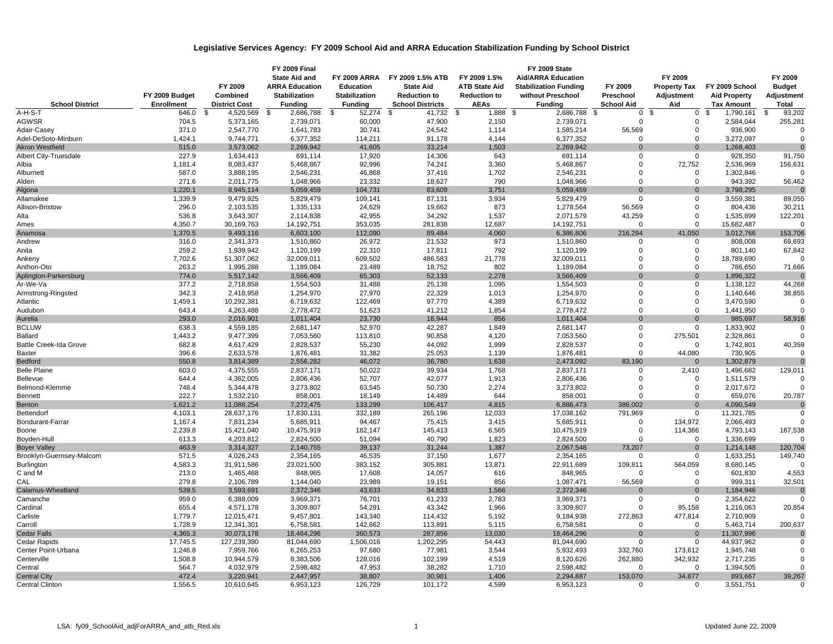## **Legislative Services Agency: FY 2009 School Aid and ARRA Education Stabilization Funding by School District**

|                               |                    |                         | <b>FY 2009 Final</b>    |                      |                                    |                                   | FY 2009 State                |                        |                         |                         |                      |
|-------------------------------|--------------------|-------------------------|-------------------------|----------------------|------------------------------------|-----------------------------------|------------------------------|------------------------|-------------------------|-------------------------|----------------------|
|                               |                    |                         | <b>State Aid and</b>    | <b>FY 2009 ARRA</b>  | FY 2009 1.5% ATB                   | FY 2009 1.5%                      | <b>Aid/ARRA Education</b>    |                        | FY 2009                 |                         | FY 2009              |
|                               |                    | FY 2009                 | <b>ARRA Education</b>   | <b>Education</b>     | <b>State Aid</b>                   | <b>ATB State Aid</b>              | <b>Stabilization Funding</b> | FY 2009                | <b>Property Tax</b>     | FY 2009 School          | <b>Budget</b>        |
|                               | FY 2009 Budget     | Combined                | <b>Stabilization</b>    | <b>Stabilization</b> | <b>Reduction to</b>                | <b>Reduction to</b>               | without Preschool            | Preschool              | Adjustment              | <b>Aid Property</b>     | Adjustment           |
| <b>School District</b>        | <b>Enrollment</b>  | <b>District Cost</b>    | <b>Funding</b>          | <b>Funding</b>       | <b>School Districts</b>            | <b>AEAs</b>                       | <b>Fundina</b>               | <b>School Aid</b>      | Aid                     | <b>Tax Amount</b>       | <b>Total</b>         |
| A-H-S-T                       | 646.0              | \$<br>4,520,569         | 2,686,788<br>\$         | \$<br>52,274         | $\overline{\mathcal{S}}$<br>41,732 | $\overline{\mathcal{S}}$<br>1,888 | \$<br>2,686,788              | $\mathbf 0$<br>-\$     | \$<br>0                 | 1,790,161<br>\$         | \$<br>93,202         |
| AGWSR                         | 704.5              | 5,373,165               | 2,739,071               | 60,000               | 47,900                             | 2,150                             | 2,739,071                    | $\mathbf 0$            | $\mathbf 0$             | 2,584,044               | 255,281              |
| Adair-Casey                   | 371.0              | 2,547,770               | 1,641,783               | 30,741               | 24,542                             | 1,114                             | 1,585,214                    | 56,569                 | $\mathbf 0$             | 936,900                 |                      |
| Adel-DeSoto-Minburn           | 1,424.1            | 9,744,771               | 6,377,352               | 114,211              | 91,178                             | 4,144                             | 6,377,352                    | $\mathbf 0$            | $\Omega$                | 3,272,097               | $\Omega$             |
| <b>Akron Westfield</b>        | 515.0              | 3,573,062               | 2,269,942               | 41,605               | 33,214                             | 1,503                             | 2,269,942                    | $\Omega$               | $\Omega$                | 1,268,403               | $\Omega$             |
| Albert City-Truesdale         | 227.9              | 1,634,413               | 691,114                 | 17,920               | 14,306                             | 643                               | 691,114                      | $\mathbf 0$            | $\mathbf 0$             | 928,350                 | 91,750               |
| Albia                         | 1,181.4            | 8,083,437               | 5,468,867               | 92,996               | 74,241                             | 3,360                             | 5,468,867                    | $\mathbf 0$            | 72,752                  | 2,536,969               | 156,631              |
| Alburnett                     | 587.0              | 3,888,195               | 2,546,231               | 46,868               | 37,416                             | 1,702                             | 2,546,231                    | $\Omega$               | $\mathbf 0$             | 1,302,846               |                      |
| Alden                         | 271.6              | 2,011,775               | 1,048,966               | 23,332               | 18,627                             | 790                               | 1,048,966                    | $\Omega$               | $\Omega$                | 943,392                 | 56,462               |
| Algona                        | 1,220.1            | 8,945,114               | 5,059,459               | 104,731              | 83,609                             | 3,751                             | 5,059,459                    | $\Omega$               | $\Omega$                | 3,798,295               | $\Omega$             |
| Allamakee                     | 1,339.9            | 9,479,925               | 5,829,479               | 109,141              | 87,131                             | 3,934                             | 5,829,479                    | $\mathbf 0$            | $\mathbf 0$             | 3,559,381               | 89,055               |
| Allison-Bristow               | 296.0              | 2,103,535               | 1,335,133               | 24,629               | 19,662                             | 873                               | 1,278,564                    | 56,569                 | $\mathbf 0$             | 804,436                 | 30,211               |
| Alta                          | 536.8              | 3,643,307               | 2,114,838               | 42,955               | 34,292                             | 1,537                             | 2,071,579                    | 43,259                 | $\mathbf 0$             | 1,535,899               | 122,201              |
| Ames                          | 4,350.7            | 30,169,763              | 14,192,751              | 353,035              | 281,838                            | 12,687                            | 14,192,751                   | $\mathbf 0$            | $\mathbf 0$             | 15,682,487              | $\Omega$             |
| Anamosa                       | 1,370.5            | 9,493,116               | 6,603,100               | 112,090              | 89,484                             | 4,060                             | 6,386,806                    | 216,294                | 41,050                  | 3,012,766               | 153,706              |
| Andrew                        | 316.0              | 2,341,373               | 1,510,860               | 26,972               | 21,532                             | 973                               | 1,510,860                    | 0                      | 0                       | 808,008                 | 69,693               |
| Anita                         | 259.2              | 1,939,942               | 1,120,199               | 22,310               | 17,811                             | 792                               | 1,120,199                    | $\Omega$               | $\mathbf 0$             | 801,140                 | 67,842               |
| Ankeny                        | 7,702.6            | 51,307,062              | 32,009,011              | 609,502              | 486,583                            | 21,778                            | 32,009,011                   | $\Omega$               | $\mathbf 0$             | 18,789,690              |                      |
| Anthon-Oto                    | 263.2              | 1,995,288               | 1,189,084               | 23,489               | 18,752                             | 802                               | 1,189,084                    | $\Omega$               | $\mathbf 0$             | 786,650                 | 71,666               |
| Aplington-Parkersburg         | 774.0              | 5,517,142               | 3,566,409               | 65,303               | 52,133                             | 2,278                             | 3,566,409                    | $\Omega$               | $\Omega$                | 1,896,322               | $\Omega$             |
| Ar-We-Va                      | 377.2              | 2,718,858               | 1,554,503               | 31,488               | 25,138                             | 1,095                             | 1,554,503                    | $\Omega$               | $\Omega$                | 1,138,122               | 44,268               |
| Armstrong-Ringsted            | 342.3              | 2,418,958               | 1,254,970               | 27,970               | 22,329                             | 1,013                             | 1,254,970                    | $\Omega$               | $\mathbf 0$             | 1,140,646               | 38,855               |
| Atlantic                      | 1,459.1            | 10,292,381              | 6,719,632               | 122,469              | 97,770                             | 4,389                             | 6,719,632                    | $\mathbf 0$            | $\mathbf 0$             | 3,470,590               | $\mathbf 0$          |
| Audubon                       | 643.4              | 4,263,488               | 2,778,472               | 51,623               | 41,212                             | 1,854                             | 2,778,472                    | $\mathbf 0$            | $\mathbf 0$             | 1,441,950               | $\Omega$             |
| Aurelia                       | 293.0              | 2,016,901               | 1,011,404               | 23,730               | 18,944                             | 856                               | 1,011,404                    | $\Omega$               | $\Omega$                | 985,697                 | 58,916               |
| <b>BCLUW</b>                  | 638.3              | 4,559,185               | 2,681,147               | 52,970               | 42,287                             | 1,849                             | 2,681,147                    | $\mathbf 0$            | $\mathbf 0$             | 1,833,902               | 0                    |
| Ballard                       | 1,443.2            | 9,477,399               | 7,053,560               | 113,810              | 90,858                             | 4,120                             | 7,053,560                    | $\overline{0}$         | 275,501                 | 2,328,861               |                      |
| <b>Battle Creek-Ida Grove</b> | 682.8              | 4,617,429               | 2,828,537               | 55,230               | 44,092                             | 1,999                             | 2,828,537                    | $\Omega$               | $\mathbf 0$             | 1,742,801               | 40,359               |
| <b>Baxter</b>                 | 396.6              | 2,633,578               | 1,876,481               | 31,382               | 25,053                             | 1,139                             | 1,876,481                    | $\mathbf 0$            | 44,080                  | 730,905                 | $\Omega$             |
| Bedford                       | 550.8              | 3,814,389               | 2,556,282               | 46,072               | 36,780                             | 1,638                             | 2,473,092                    | 83,190                 | $\mathbf{0}$            | 1,302,879               |                      |
| <b>Belle Plaine</b>           | 603.0              | 4,375,555               | 2,837,171               | 50,022               | 39,934                             | 1,768                             | 2,837,171                    | 0                      | 2,410                   | 1,496,682               | 129,011              |
| Bellevue                      | 644.4              | 4,362,005               | 2,806,436               | 52,707               | 42,077                             | 1,913                             | 2,806,436                    | $\overline{0}$         | 0                       | 1,511,579               |                      |
| Belmond-Klemme                | 748.4              | 5,344,478               | 3,273,802               | 63,545               | 50,730                             | 2,274                             | 3,273,802                    | $\Omega$               | $\mathbf 0$             | 2,017,672               |                      |
| Bennett                       | 222.7              | 1,532,210               | 858,001                 | 18,149               | 14,489                             | 644                               | 858,001                      | $\mathbf 0$            | $\mathbf 0$<br>$\Omega$ | 659,076                 | 20,787               |
| Benton                        | 1,621.2            | 11,088,254              | 7,272,475               | 133,299<br>332,189   | 106,417                            | 4,815<br>12,033                   | 6,886,473                    | 386,002                | $\mathbf 0$             | 4,090,549               | $\Omega$<br>$\Omega$ |
| Bettendorf                    | 4,103.1<br>1,167.4 | 28,637,176<br>7,831,234 | 17,830,131<br>5,685,911 | 94,467               | 265,196                            | 3,415                             | 17,038,162<br>5,685,911      | 791,969<br>$\mathbf 0$ |                         | 11,321,785<br>2,066,493 |                      |
| Bondurant-Farrar              | 2,239.8            | 15,421,040              | 10,475,919              | 182,147              | 75,415<br>145,413                  | 6,565                             |                              | $\overline{0}$         | 134,972                 |                         |                      |
| Boone<br>Boyden-Hull          | 613.3              | 4,203,812               | 2,824,500               | 51,094               | 40,790                             | 1,823                             | 10,475,919<br>2,824,500      | $\Omega$               | 114,366<br>$\mathbf 0$  | 4,793,143<br>1,336,699  | 167,538              |
| <b>Boyer Valley</b>           | 463.9              | 3,314,327               | 2,140,755               | 39,137               | 31,244                             | 1,387                             | 2,067,548                    | 73,207                 | $\mathbf{0}$            | 1,214,148               | 120,704              |
| Brooklyn-Guernsey-Malcom      | 571.5              | 4,026,243               | 2,354,165               | 46,535               | 37,150                             | 1,677                             | 2,354,165                    | $\mathbf 0$            | $\Omega$                | 1,633,251               | 149,740              |
| Burlington                    | 4,583.3            | 31,911,586              | 23,021,500              | 383,152              | 305,881                            | 13,871                            | 22,911,689                   | 109,811                | 564,059                 | 8,680,145               |                      |
| C and M                       | 213.0              | 1,465,468               | 848,965                 | 17,608               | 14,057                             | 616                               | 848,965                      | $\overline{0}$         | $\mathbf 0$             | 601,830                 | 4,553                |
| CAL                           | 279.8              | 2,106,789               | 1,144,040               | 23,989               | 19,151                             | 856                               | 1,087,471                    | 56,569                 | $\mathbf 0$             | 999,311                 | 32,501               |
| Calamus-Wheatland             | 539.5              | 3,593,691               | 2,372,346               | 43,633               | 34,833                             | 1,566                             | 2,372,346                    | $\mathbf{0}$           | $\Omega$                | 1,184,946               | $\overline{0}$       |
| Camanche                      | 959.0              | 6,388,009               | 3,969,371               | 76,701               | 61,233                             | 2,783                             | 3,969,371                    | $\mathbf 0$            | $\mathbf 0$             | 2,354,622               | $\Omega$             |
| Cardinal                      | 655.4              | 4,571,178               | 3,309,807               | 54,291               | 43,342                             | 1,966                             | 3,309,807                    | $\Omega$               | 95,158                  | 1,216,063               | 20,854               |
| Carlisle                      | 1,779.7            | 12,015,471              | 9,457,801               | 143,340              | 114,432                            | 5,192                             | 9,184,938                    | 272,863                | 477,814                 | 2,710,909               |                      |
| Carroll                       | 1,728.9            | 12,341,301              | 6,758,581               | 142,662              | 113,891                            | 5,115                             | 6,758,581                    | $\Omega$               | $\mathbf 0$             | 5,463,714               | 200,637              |
| Cedar Falls                   | 4,365.3            | 30,073,178              | 18,464,296              | 360,573              | 287,856                            | 13,030                            | 18,464,296                   | $\overline{0}$         | $\mathbf{0}$            | 11,307,996              | $\Omega$             |
| Cedar Rapids                  | 17,745.5           | 127,239,390             | 81,044,690              | 1,506,016            | 1,202,295                          | 54,443                            | 81,044,690                   | $\mathbf 0$            | $\mathbf 0$             | 44,937,962              | $\Omega$             |
| Center Point-Urbana           | 1,246.8            | 7,959,766               | 6,265,253               | 97,680               | 77,981                             | 3,544                             | 5,932,493                    | 332,760                | 173,612                 | 1,945,748               |                      |
| Centerville                   | 1,508.8            | 10,944,579              | 8,383,506               | 128,016              | 102,199                            | 4,519                             | 8,120,626                    | 262,880                | 342,932                 | 2,717,235               | $\Omega$             |
| Central                       | 564.7              | 4,032,979               | 2,598,482               | 47,953               | 38,282                             | 1,710                             | 2,598,482                    | $\mathbf 0$            | $\mathbf 0$             | 1,394,505               | $\Omega$             |
| <b>Central City</b>           | 472.4              | 3,220,941               | 2,447,957               | 38,807               | 30,981                             | 1,406                             | 2,294,887                    | 153,070                | 34,877                  | 893,667                 | 39,267               |
| Central Clinton               | 1,556.5            | 10,610,645              | 6,953,123               | 126,729              | 101,172                            | 4,599                             | 6,953,123                    | $\mathbf 0$            | 0                       | 3,551,751               | $\mathbf 0$          |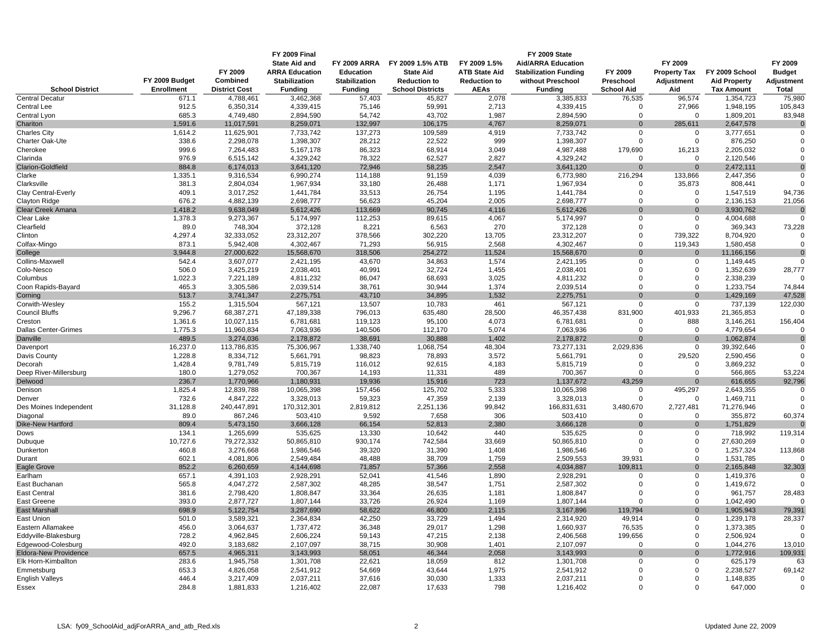|                                   | FY 2009 Budget    | FY 2009<br>Combined     | <b>FY 2009 Final</b><br><b>State Aid and</b><br><b>ARRA Education</b><br><b>Stabilization</b> | FY 2009 ARRA<br><b>Education</b><br><b>Stabilization</b> | FY 2009 1.5% ATB<br><b>State Aid</b><br><b>Reduction to</b> | FY 2009 1.5%<br><b>ATB State Aid</b><br><b>Reduction to</b> | FY 2009 State<br><b>Aid/ARRA Education</b><br><b>Stabilization Funding</b><br>without Preschool | FY 2009<br>Preschool          | FY 2009<br><b>Property Tax</b><br>Adjustment | FY 2009 School<br><b>Aid Property</b> | FY 2009<br><b>Budget</b><br>Adjustment |
|-----------------------------------|-------------------|-------------------------|-----------------------------------------------------------------------------------------------|----------------------------------------------------------|-------------------------------------------------------------|-------------------------------------------------------------|-------------------------------------------------------------------------------------------------|-------------------------------|----------------------------------------------|---------------------------------------|----------------------------------------|
| <b>School District</b>            | <b>Enrollment</b> | <b>District Cost</b>    | <b>Funding</b>                                                                                | <b>Funding</b>                                           | <b>School Districts</b>                                     | <b>AEAs</b>                                                 | <b>Funding</b>                                                                                  | <b>School Aid</b>             | Aid                                          | <b>Tax Amount</b>                     | Total                                  |
| <b>Central Decatur</b>            | 671.1             | 4,788,461               | 3,462,368                                                                                     | 57,403                                                   | 45,827                                                      | 2,078                                                       | 3,385,833                                                                                       | 76,535                        | 96,574                                       | 1,354,723                             | 75,980                                 |
| Central Lee                       | 912.5             | 6,350,314               | 4,339,415                                                                                     | 75,146                                                   | 59,991                                                      | 2,713                                                       | 4,339,415                                                                                       | $\Omega$                      | 27,966                                       | 1,948,195                             | 105,843                                |
| Central Lyon                      | 685.3             | 4,749,480               | 2,894,590                                                                                     | 54,742                                                   | 43.702                                                      | 1,987                                                       | 2,894,590                                                                                       | $\mathbf 0$                   | $\mathbf 0$                                  | 1,809,201                             | 83,948                                 |
| Chariton                          | 1,591.6           | 11,017,591              | 8,259,071                                                                                     | 132,997                                                  | 106,175                                                     | 4,767                                                       | 8,259,071                                                                                       | $\Omega$                      | 285,611                                      | 2,647,578                             |                                        |
| <b>Charles City</b>               | 1,614.2           | 11,625,901              | 7,733,742                                                                                     | 137,273                                                  | 109,589                                                     | 4,919                                                       | 7,733,742                                                                                       | $\Omega$                      | 0                                            | 3,777,651                             | ∩                                      |
| Charter Oak-Ute                   | 338.6<br>999.6    | 2,298,078<br>7,264,483  | 1,398,307<br>5,167,178                                                                        | 28,212<br>86,323                                         | 22,522<br>68,914                                            | 999<br>3,049                                                | 1,398,307<br>4,987,488                                                                          | $\Omega$                      | $\mathbf 0$                                  | 876,250<br>2,205,032                  |                                        |
| Cherokee<br>Clarinda              | 976.9             | 6,515,142               | 4,329,242                                                                                     | 78,322                                                   | 62,527                                                      | 2,827                                                       | 4,329,242                                                                                       | 179,690<br>$\mathbf 0$        | 16,213<br>0                                  | 2,120,546                             | $\Omega$                               |
| <b>Clarion-Goldfield</b>          | 884.8             | 6,174,013               | 3,641,120                                                                                     | 72,946                                                   | 58,235                                                      | 2,547                                                       | 3,641,120                                                                                       | $\Omega$                      | $\Omega$                                     | 2,472,111                             | $\Omega$                               |
| Clarke                            | 1,335.1           | 9,316,534               | 6,990,274                                                                                     | 114,188                                                  | 91,159                                                      | 4,039                                                       | 6,773,980                                                                                       | 216,294                       | 133,866                                      | 2,447,356                             | $\mathbf 0$                            |
| Clarksville                       | 381.3             | 2,804,034               | 1,967,934                                                                                     | 33,180                                                   | 26,488                                                      | 1,171                                                       | 1,967,934                                                                                       | $\Omega$                      | 35,873                                       | 808,441                               |                                        |
| Clay Central-Everly               | 409.1             | 3,017,252               | 1,441,784                                                                                     | 33,513                                                   | 26,754                                                      | 1,195                                                       | 1,441,784                                                                                       | $\mathbf 0$                   | 0                                            | 1,547,519                             | 94,736                                 |
| Clayton Ridge                     | 676.2             | 4,882,139               | 2,698,777                                                                                     | 56,623                                                   | 45,204                                                      | 2,005                                                       | 2,698,777                                                                                       | $\mathbf 0$                   | 0                                            | 2,136,153                             | 21,056                                 |
| Clear Creek Amana                 | 1,418.2           | 9,638,049               | 5,612,426                                                                                     | 113,669                                                  | 90,745                                                      | 4,116                                                       | 5,612,426                                                                                       | $\mathbf{0}$                  | $\mathbf{0}$<br>$\mathbf 0$                  | 3,930,762                             | $\Omega$                               |
| Clear Lake<br>Clearfield          | 1,378.3<br>89.0   | 9,273,367<br>748,304    | 5,174,997<br>372,128                                                                          | 112,253<br>8,221                                         | 89,615<br>6,563                                             | 4,067<br>270                                                | 5,174,997<br>372,128                                                                            | $\mathbf 0$<br>$\Omega$       | $\Omega$                                     | 4,004,688<br>369,343                  | 73,228                                 |
| Clinton                           | 4,297.4           | 32.333.052              | 23,312,207                                                                                    | 378,566                                                  | 302,220                                                     | 13,705                                                      | 23,312,207                                                                                      | $\Omega$                      | 739.322                                      | 8,704,920                             | $\Omega$                               |
| Colfax-Mingo                      | 873.1             | 5,942,408               | 4,302,467                                                                                     | 71,293                                                   | 56,915                                                      | 2,568                                                       | 4,302,467                                                                                       | $\mathbf 0$                   | 119,343                                      | 1,580,458                             | $\Omega$                               |
| College                           | 3,944.8           | 27,000,622              | 15,568,670                                                                                    | 318,506                                                  | 254,272                                                     | 11,524                                                      | 15,568,670                                                                                      | $\Omega$                      | $\mathbf{0}$                                 | 11,166,156                            | $\Omega$                               |
| Collins-Maxwell                   | 542.4             | 3,607,077               | 2,421,195                                                                                     | 43,670                                                   | 34,863                                                      | 1,574                                                       | 2,421,195                                                                                       | $\Omega$                      | 0                                            | 1,149,445                             |                                        |
| Colo-Nesco                        | 506.0             | 3,425,219               | 2,038,401                                                                                     | 40,991                                                   | 32,724                                                      | 1,455                                                       | 2,038,401                                                                                       | $\Omega$                      | 0                                            | 1,352,639                             | 28,777                                 |
| Columbus                          | 1,022.3           | 7,221,189               | 4,811,232                                                                                     | 86,047                                                   | 68,693                                                      | 3,025                                                       | 4,811,232                                                                                       | $\Omega$                      | $\mathbf 0$                                  | 2,338,239                             |                                        |
| Coon Rapids-Bayard                | 465.3             | 3,305,586               | 2,039,514                                                                                     | 38,761                                                   | 30,944                                                      | 1,374                                                       | 2,039,514                                                                                       | $\Omega$                      | $\mathbf 0$                                  | 1,233,754                             | 74,844                                 |
| Corning<br>Corwith-Wesley         | 513.7<br>155.2    | 3,741,347<br>1,315,504  | 2,275,751<br>567,121                                                                          | 43,710<br>13,507                                         | 34,895<br>10,783                                            | 1,532<br>461                                                | 2,275,751<br>567,121                                                                            | $\overline{0}$<br>$\mathbf 0$ | $\mathbf{0}$<br>0                            | 1,429,169<br>737,139                  | 47,528<br>122,030                      |
| Council Bluffs                    | 9,296.7           | 68,387,271              | 47,189,338                                                                                    | 796,013                                                  | 635,480                                                     | 28,500                                                      | 46,357,438                                                                                      | 831,900                       | 401,933                                      | 21,365,853                            |                                        |
| Creston                           | 1,361.6           | 10,027,115              | 6,781,681                                                                                     | 119,123                                                  | 95,100                                                      | 4,073                                                       | 6,781,681                                                                                       | $\Omega$                      | 888                                          | 3,146,261                             | 156,404                                |
| Dallas Center-Grimes              | 1,775.3           | 11,960,834              | 7,063,936                                                                                     | 140,506                                                  | 112,170                                                     | 5,074                                                       | 7,063,936                                                                                       | $\Omega$                      | $\mathbf 0$                                  | 4,779,654                             | $\Omega$                               |
| Danville                          | 489.5             | 3,274,036               | 2,178,872                                                                                     | 38,691                                                   | 30,888                                                      | 1,402                                                       | 2,178,872                                                                                       | $\mathbf{0}$                  | $\mathbf{0}$                                 | 1,062,874                             | $\Omega$                               |
| Davenport                         | 16,237.0          | 113,786,835             | 75,306,967                                                                                    | 1,338,740                                                | 1,068,754                                                   | 48,304                                                      | 73,277,131                                                                                      | 2,029,836                     | $\mathbf 0$                                  | 39,392,646                            | $\Omega$                               |
| Davis County                      | 1,228.8           | 8,334,712               | 5,661,791                                                                                     | 98,823                                                   | 78,893                                                      | 3,572                                                       | 5,661,791                                                                                       | $\Omega$                      | 29,520                                       | 2,590,456                             | $\Omega$                               |
| Decorah                           | 1,428.4           | 9,781,749               | 5,815,719                                                                                     | 116,012                                                  | 92,615                                                      | 4,183<br>489                                                | 5,815,719                                                                                       | $\Omega$<br>$\Omega$          | 0<br>$\mathbf 0$                             | 3,869,232                             |                                        |
| Deep River-Millersburg<br>Delwood | 180.0<br>236.7    | 1,279,052<br>1,770,966  | 700,367<br>1,180,931                                                                          | 14,193<br>19,936                                         | 11,331<br>15,916                                            | 723                                                         | 700,367<br>1,137,672                                                                            | 43,259                        | $\mathbf 0$                                  | 566,865<br>616,655                    | 53,224<br>92,796                       |
| Denison                           | 1,825.4           | 12,839,788              | 10,065,398                                                                                    | 157,456                                                  | 125,702                                                     | 5,333                                                       | 10,065,398                                                                                      | 0                             | 495,297                                      | 2,643,355                             | $\mathbf 0$                            |
| Denver                            | 732.6             | 4,847,222               | 3,328,013                                                                                     | 59,323                                                   | 47,359                                                      | 2,139                                                       | 3,328,013                                                                                       | $\mathbf 0$                   | 0                                            | 1,469,711                             | $\Omega$                               |
| Des Moines Independent            | 31,128.8          | 240,447,891             | 170,312,301                                                                                   | 2,819,812                                                | 2,251,136                                                   | 99,842                                                      | 166,831,631                                                                                     | 3,480,670                     | 2,727,481                                    | 71,276,946                            |                                        |
| Diagonal                          | 89.0              | 867,246                 | 503,410                                                                                       | 9,592                                                    | 7,658                                                       | 306                                                         | 503,410                                                                                         | $\mathbf 0$                   | 0                                            | 355,872                               | 60,374                                 |
| Dike-New Hartford                 | 809.4             | 5,473,150               | 3,666,128                                                                                     | 66,154                                                   | 52,813                                                      | 2,380                                                       | 3,666,128                                                                                       | $\mathbf{0}$                  | $\mathbf{0}$                                 | 1,751,829                             |                                        |
| Dows                              | 134.1<br>10.727.6 | 1,265,699               | 535,625                                                                                       | 13,330                                                   | 10,642                                                      | 440                                                         | 535,625                                                                                         | $\Omega$<br>$\mathbf 0$       | $\mathbf 0$<br>$\mathbf 0$                   | 718,992                               | 119,314                                |
| Dubuaue<br>Dunkerton              | 460.8             | 79,272,332<br>3,276,668 | 50,865,810<br>1,986,546                                                                       | 930,174<br>39,320                                        | 742,584<br>31,390                                           | 33,669<br>1,408                                             | 50,865,810<br>1,986,546                                                                         | $\Omega$                      | $\mathbf 0$                                  | 27,630,269<br>1,257,324               | 113,868                                |
| Durant                            | 602.1             | 4,081,806               | 2,549,484                                                                                     | 48,488                                                   | 38,709                                                      | 1,759                                                       | 2,509,553                                                                                       | 39,931                        | $\mathbf 0$                                  | 1,531,785                             |                                        |
| Eagle Grove                       | 852.2             | 6,260,659               | 4,144,698                                                                                     | 71,857                                                   | 57,366                                                      | 2,558                                                       | 4,034,887                                                                                       | 109,811                       | $\mathbf{0}$                                 | 2,165,848                             | 32,303                                 |
| Earlham                           | 657.1             | 4,391,103               | 2,928,291                                                                                     | 52,041                                                   | 41,546                                                      | 1,890                                                       | 2,928,291                                                                                       | $\Omega$                      | 0                                            | 1,419,376                             | $\Omega$                               |
| East Buchanan                     | 565.8             | 4,047,272               | 2,587,302                                                                                     | 48,285                                                   | 38,547                                                      | 1,751                                                       | 2,587,302                                                                                       | $\mathbf 0$                   | 0                                            | 1,419,672                             | $\Omega$                               |
| East Central                      | 381.6             | 2,798,420               | 1,808,847                                                                                     | 33,364                                                   | 26,635                                                      | 1,181                                                       | 1,808,847                                                                                       | $\Omega$                      | $\mathbf 0$                                  | 961,757                               | 28,483                                 |
| East Greene                       | 393.0             | 2,877,727               | 1,807,144                                                                                     | 33,726                                                   | 26,924                                                      | 1,169                                                       | 1,807,144                                                                                       | $\mathbf 0$                   | 0                                            | 1,042,490                             | $\Omega$                               |
| East Marshall                     | 698.9             | 5,122,754               | 3,287,690                                                                                     | 58,622                                                   | 46,800                                                      | 2,115                                                       | 3,167,896                                                                                       | 119,794                       | $\mathbf{0}$<br>0                            | 1,905,943                             | 79,391                                 |
| East Union<br>Eastern Allamakee   | 501.0<br>456.0    | 3,589,321<br>3,064,637  | 2,364,834<br>1,737,472                                                                        | 42,250<br>36,348                                         | 33,729<br>29,017                                            | 1,494<br>1,298                                              | 2,314,920<br>1,660,937                                                                          | 49,914<br>76,535              | $\mathbf 0$                                  | 1,239,178<br>1,373,385                | 28,337<br>$\Omega$                     |
| Eddyville-Blakesburg              | 728.2             | 4,962,845               | 2,606,224                                                                                     | 59,143                                                   | 47,215                                                      | 2,138                                                       | 2,406,568                                                                                       | 199,656                       | 0                                            | 2,506,924                             | $\Omega$                               |
| Edgewood-Colesburg                | 492.0             | 3,183,682               | 2,107,097                                                                                     | 38,715                                                   | 30,908                                                      | 1,401                                                       | 2,107,097                                                                                       | $\Omega$                      | $\mathbf 0$                                  | 1,044,276                             | 13,010                                 |
| <b>Eldora-New Providence</b>      | 657.5             | 4,965,311               | 3,143,993                                                                                     | 58,051                                                   | 46,344                                                      | 2.058                                                       | 3,143,993                                                                                       | $\Omega$                      | $\mathbf{0}$                                 | 1,772,916                             | 109,931                                |
| Elk Horn-Kimballton               | 283.6             | 1,945,758               | 1,301,708                                                                                     | 22,621                                                   | 18,059                                                      | 812                                                         | 1,301,708                                                                                       | $\mathbf 0$                   | $\mathbf 0$                                  | 625,179                               | 63                                     |
| Emmetsburg                        | 653.3             | 4,826,058               | 2,541,912                                                                                     | 54,669                                                   | 43,644                                                      | 1,975                                                       | 2,541,912                                                                                       | $\Omega$                      | $\mathbf 0$                                  | 2,238,527                             | 69,142                                 |
| <b>English Valleys</b>            | 446.4             | 3,217,409               | 2,037,211                                                                                     | 37,616                                                   | 30,030                                                      | 1,333                                                       | 2,037,211                                                                                       | $\Omega$                      | $\mathbf 0$                                  | 1,148,835                             | $\mathbf 0$                            |
| Essex                             | 284.8             | 1,881,833               | 1,216,402                                                                                     | 22,087                                                   | 17,633                                                      | 798                                                         | 1,216,402                                                                                       | $\Omega$                      | $\Omega$                                     | 647,000                               | $\Omega$                               |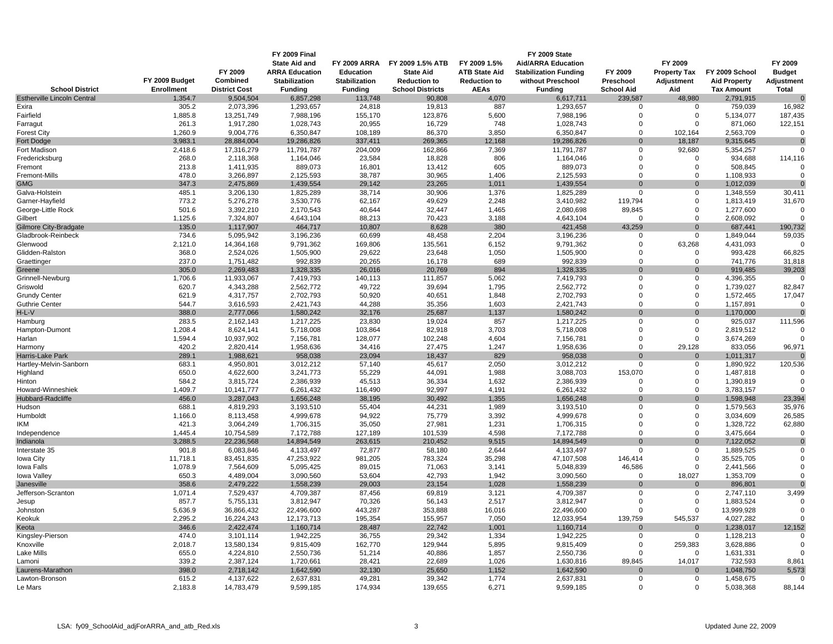|                                    |                   |                      | <b>FY 2009 Final</b>  |                      |                         |                      | FY 2009 State                |                   |                     |                     |                |
|------------------------------------|-------------------|----------------------|-----------------------|----------------------|-------------------------|----------------------|------------------------------|-------------------|---------------------|---------------------|----------------|
|                                    |                   |                      | <b>State Aid and</b>  | <b>FY 2009 ARRA</b>  | FY 2009 1.5% ATB        | FY 2009 1.5%         | <b>Aid/ARRA Education</b>    |                   | FY 2009             |                     | FY 2009        |
|                                    |                   | FY 2009              | <b>ARRA Education</b> | <b>Education</b>     | <b>State Aid</b>        | <b>ATB State Aid</b> | <b>Stabilization Funding</b> | FY 2009           | <b>Property Tax</b> | FY 2009 School      | <b>Budget</b>  |
|                                    | FY 2009 Budget    | Combined             | <b>Stabilization</b>  | <b>Stabilization</b> | <b>Reduction to</b>     | <b>Reduction to</b>  | without Preschool            | Preschool         | Adjustment          | <b>Aid Property</b> | Adjustment     |
| <b>School District</b>             | <b>Enrollment</b> | <b>District Cost</b> | <b>Funding</b>        | <b>Funding</b>       | <b>School Districts</b> | <b>AEAs</b>          | <b>Funding</b>               | <b>School Aid</b> | Aid                 | <b>Tax Amount</b>   | <b>Total</b>   |
| <b>Estherville Lincoln Central</b> | 1,354.7           | 9,504,504            | 6,857,298             | 113,748              | 90,808                  | 4,070                | 6,617,711                    | 239,587           | 48,980              | 2,791,915           | $\Omega$       |
| Exira                              | 305.2             | 2,073,396            | 1,293,657             | 24,818               | 19,813                  | 887                  | 1,293,657                    | $\pmb{0}$         | 0                   | 759,039             | 16,982         |
| Fairfield                          | 1,885.8           | 13,251,749           | 7,988,196             | 155,170              | 123,876                 | 5,600                | 7,988,196                    | $\mathbf 0$       | $\mathbf 0$         | 5,134,077           | 187,435        |
| Farragut                           | 261.3             | 1,917,280            | 1,028,743             | 20,955               | 16,729                  | 748                  | 1,028,743                    | $\mathbf 0$       | $\mathbf 0$         | 871,060             | 122,151        |
| <b>Forest City</b>                 | 1,260.9           | 9,004,776            | 6,350,847             | 108,189              | 86,370                  | 3,850                | 6,350,847                    | $\mathbf 0$       | 102,164             | 2,563,709           |                |
| Fort Dodge                         | 3,983.1           | 28,884,004           | 19,286,826            | 337,411              | 269,365                 | 12,168               | 19,286,826                   | $\mathbf{0}$      | 18,187              | 9,315,645           | $\mathbf{0}$   |
| Fort Madison                       | 2,418.6           | 17,316,279           | 11,791,787            | 204,009              | 162,866                 | 7,369                | 11,791,787                   | $\mathbf 0$       | 92,680              | 5,354,257           |                |
| Fredericksburg                     | 268.0             | 2,118,368            | 1,164,046             | 23,584               | 18,828                  | 806                  | 1,164,046                    | $\Omega$          | $\mathbf 0$         | 934,688             | 114,116        |
| Fremont                            | 213.8             | 1,411,935            | 889,073               | 16,801               | 13,412                  | 605                  | 889,073                      | $\Omega$          | $\mathbf 0$         | 508,845             |                |
| Fremont-Mills                      | 478.0             | 3,266,897            | 2,125,593             | 38,787               | 30,965                  | 1,406                | 2,125,593                    | $\overline{0}$    | $\mathbf 0$         | 1,108,933           | $\Omega$       |
| <b>GMG</b>                         | 347.3             | 2,475,869            | 1,439,554             | 29,142               | 23,265                  | 1,011                | 1,439,554                    | $\Omega$          | $\mathbf{0}$        | 1,012,039           | $\Omega$       |
| Galva-Holstein                     | 485.1             | 3,206,130            | 1,825,289             | 38,714               | 30,906                  | 1,376                | 1,825,289                    | $\Omega$          | $\mathbf 0$         | 1,348,559           | 30,411         |
| Garner-Hayfield                    | 773.2             | 5,276,278            | 3,530,776             | 62,167               | 49,629                  | 2,248                | 3,410,982                    | 119,794           | 0                   | 1,813,419           | 31,670         |
| George-Little Rock                 | 501.6             | 3,392,210            | 2,170,543             | 40,644               | 32,447                  | 1,465                | 2,080,698                    | 89,845            | $\mathbf 0$         | 1,277,600           | $\mathbf 0$    |
| Gilbert                            | 1,125.6           | 7,324,807            | 4,643,104             | 88,213               | 70,423                  | 3,188                | 4,643,104                    | $\mathbf 0$       | $\mathbf 0$         | 2,608,092           | $\Omega$       |
| Gilmore City-Bradgate              | 135.0             | 1,117,907            | 464,717               | 10,807               | 8,628                   | 380                  | 421,458                      | 43,259            | $\mathbf{0}$        | 687,441             | 190,732        |
| Gladbrook-Reinbeck                 | 734.6             | 5,095,942            | 3,196,236             | 60,699               | 48,458                  | 2,204                | 3,196,236                    | $\Omega$          | 0                   | 1,849,044           | 59,035         |
| Glenwood                           | 2,121.0           | 14,364,168           | 9,791,362             | 169,806              | 135,561                 | 6,152                | 9,791,362                    | $\mathbf 0$       | 63,268              | 4,431,093           | $\Omega$       |
| Glidden-Ralston                    | 368.0             | 2,524,026            | 1,505,900             | 29,622               | 23,648                  | 1,050                | 1,505,900                    | $\Omega$          | $\mathbf 0$         | 993,428             | 66,825         |
| Graettinger                        | 237.0             | 1,751,482            | 992,839               | 20,265               | 16,178                  | 689                  | 992,839                      | $\Omega$          | $\mathbf 0$         | 741,776             | 31,818         |
| Greene                             | 305.0             | 2,269,483            | 1,328,335             | 26,016               | 20,769                  | 894                  | 1,328,335                    | $\Omega$          | $\mathbf{0}$        | 919,485             | 39,203         |
| Grinnell-Newburg                   | 1,706.6           | 11,933,067           | 7,419,793             | 140,113              | 111,857                 | 5,062                | 7,419,793                    | $\Omega$          | $\mathbf 0$         | 4,396,355           | $\Omega$       |
| Griswold                           | 620.7             | 4,343,288            | 2,562,772             | 49,722               | 39,694                  | 1,795                | 2,562,772                    | $\mathbf 0$       | $\mathbf 0$         | 1,739,027           | 82,847         |
| <b>Grundy Center</b>               | 621.9             | 4,317,757            | 2,702,793             | 50,920               | 40,651                  | 1,848                | 2,702,793                    | $\mathbf 0$       | $\mathbf 0$         | 1,572,465           | 17,047         |
| <b>Guthrie Center</b>              | 544.7             | 3,616,593            | 2,421,743             | 44,288               | 35,356                  | 1,603                | 2,421,743                    | $\Omega$          | $\mathbf 0$         | 1,157,891           | 0              |
| H-L-V                              | 388.0             | 2,777,066            | 1,580,242             | 32,176               | 25,687                  | 1,137                | 1,580,242                    | $\Omega$          | $\Omega$            | 1,170,000           |                |
| Hamburg                            | 283.5             | 2,162,143            | 1,217,225             | 23,830               | 19,024                  | 857                  | 1,217,225                    | $\mathbf 0$       | $\mathbf 0$         | 925,037             | 111,596        |
| Hampton-Dumont                     | 1,208.4           | 8,624,141            | 5,718,008             | 103,864              | 82,918                  | 3,703                | 5,718,008                    | $\Omega$          | $\mathbf 0$         | 2,819,512           |                |
| Harlan                             | 1,594.4           | 10,937,902           | 7,156,781             | 128,077              | 102,248                 | 4,604                | 7,156,781                    | $\Omega$          | $\mathbf 0$         | 3,674,269           |                |
| Harmony                            | 420.2             | 2,820,414            | 1,958,636             | 34,416               | 27,475                  | 1,247                | 1,958,636                    | $\overline{0}$    | 29,128              | 833,056             | 96,971         |
| Harris-Lake Park                   | 289.1             | 1,988,621            | 958,038               | 23,094               | 18,437                  | 829                  | 958,038                      | $\Omega$          | $\mathbf{0}$        | 1,011,317           |                |
| Hartley-Melvin-Sanborn             | 683.1             | 4,950,801            | 3,012,212             | 57,140               | 45,617                  | 2,050                | 3,012,212                    | $\mathbf 0$       | $\mathbf 0$         | 1,890,922           | 120,536        |
| Highland                           | 650.0             | 4,622,600            | 3,241,773             | 55,229               | 44,091                  | 1,988                | 3,088,703                    | 153,070           | $\mathbf 0$         | 1,487,818           |                |
| Hinton                             | 584.2             | 3,815,724            | 2,386,939             | 45,513               | 36,334                  | 1,632                | 2,386,939                    | $\mathbf 0$       | $\mathbf 0$         | 1,390,819           | $\mathbf 0$    |
| Howard-Winneshiek                  | 1,409.7           | 10,141,777           | 6,261,432             | 116,490              | 92,997                  | 4,191                | 6,261,432                    | $\mathbf 0$       | $\mathbf 0$         | 3,783,157           | $\Omega$       |
| Hubbard-Radcliffe                  | 456.0             | 3,287,043            | 1,656,248             | 38,195               | 30,492                  | 1,355                | 1,656,248                    | $\Omega$          | $\mathbf 0$         | 1,598,948           | 23,394         |
| Hudson                             | 688.1             | 4,819,293            | 3,193,510             | 55,404               | 44,231                  | 1,989                | 3,193,510                    | $\Omega$          | $\mathbf 0$         | 1,579,563           | 35,976         |
| Humboldt                           | 1,166.0           | 8,113,458            | 4,999,678             | 94,922               | 75,779                  | 3,392                | 4,999,678                    | $\Omega$          | $\mathbf 0$         | 3,034,609           | 26,585         |
| <b>IKM</b>                         | 421.3             | 3,064,249            | 1,706,315             | 35,050               | 27,981                  | 1,231                | 1,706,315                    | $\Omega$          | $\mathbf 0$         | 1,328,722           | 62,880         |
| Independence                       | 1,445.4           | 10,754,589           | 7,172,788             | 127,189              | 101,539                 | 4,598                | 7,172,788                    | $\Omega$          | $\mathbf 0$         | 3,475,664           | $\mathbf 0$    |
| Indianola                          | 3,288.5           | 22,236,568           | 14,894,549            | 263,615              | 210,452                 | 9,515                | 14,894,549                   | $\Omega$          | $\mathbf{0}$        | 7,122,052           | $\overline{0}$ |
| Interstate 35                      | 901.8             | 6,083,846            | 4,133,497             | 72,877               | 58,180                  | 2,644                | 4,133,497                    | $\Omega$          | 0                   | 1,889,525           | $\mathbf 0$    |
| lowa City                          | 11,718.1          | 83,451,835           | 47,253,922            | 981,205              | 783,324                 | 35,298               | 47,107,508                   | 146,414           | $\mathbf 0$         | 35,525,705          | $\mathbf 0$    |
| Iowa Falls                         | 1,078.9           | 7,564,609            | 5,095,425             | 89,015               | 71,063                  | 3,141                | 5,048,839                    | 46,586            | $\mathbf 0$         | 2,441,566           | $\Omega$       |
| Iowa Valley                        | 650.3             | 4,489,004            | 3,090,560             | 53,604               | 42,793                  | 1,942                | 3,090,560                    | $\mathbf 0$       | 18,027              | 1,353,709           | $\Omega$       |
| Janesville                         | 358.6             | 2,479,222            | 1,558,239             | 29,003               | 23,154                  | 1,028                | 1,558,239                    | $\mathbf 0$       | $\mathbf{0}$        | 896,801             | $\Omega$       |
| Jefferson-Scranton                 | 1,071.4           | 7,529,437            | 4,709,387             | 87,456               | 69,819                  | 3,121                | 4,709,387                    | $\mathbf 0$       | $\mathbf 0$         | 2,747,110           | 3,499          |
| Jesup                              | 857.7             | 5,755,131            | 3,812,947             | 70,326               | 56,143                  | 2,517                | 3,812,947                    | $\Omega$          | $\mathbf 0$         | 1,883,524           |                |
| Johnston                           | 5,636.9           | 36,866,432           | 22,496,600            | 443,287              | 353,888                 | 16,016               | 22,496,600                   | $\Omega$          | $\mathbf 0$         | 13,999,928          | $\Omega$       |
| Keokuk                             | 2,295.2           | 16,224,243           | 12, 173, 713          | 195,354              | 155,957                 | 7,050                | 12,033,954                   | 139,759           | 545,537             | 4,027,282           |                |
| Keota                              | 346.6             | 2,422,474            | 1,160,714             | 28,487               | 22,742                  | 1,001                | 1,160,714                    | $\Omega$          | $\mathbf{0}$        | 1,238,017           | 12,152         |
| Kingsley-Pierson                   | 474.0             | 3,101,114            | 1,942,225             | 36,755               | 29,342                  | 1,334                | 1,942,225                    | $\mathbf 0$       | 0                   | 1,128,213           | 0              |
| Knoxville                          | 2,018.7           | 13,580,134           | 9,815,409             | 162,770              | 129,944                 | 5,895                | 9,815,409                    | $\mathbf 0$       | 259,383             | 3,628,886           | $\Omega$       |
| Lake Mills                         | 655.0             | 4,224,810            | 2,550,736             | 51,214               | 40,886                  | 1,857                | 2,550,736                    | $\Omega$          | 0                   | 1,631,331           |                |
| Lamoni                             | 339.2             | 2,387,124            | 1,720,661             | 28,421               | 22,689                  | 1,026                | 1,630,816                    | 89.845            | 14,017              | 732,593             | 8,861          |
| Laurens-Marathon                   | 398.0             | 2,718,142            | 1,642,590             | 32,130               | 25,650                  | 1,152                | 1,642,590                    | $\mathbf{0}$      | $\mathbf 0$         | 1,048,750           | 5,573          |
| Lawton-Bronson                     | 615.2             | 4,137,622            | 2,637,831             | 49,281               | 39,342                  | 1,774                | 2,637,831                    | $\mathbf 0$       | $\mathbf 0$         | 1,458,675           | $\Omega$       |
| e Mars                             | 2,183.8           | 14,783,479           | 9,599,185             | 174,934              | 139,655                 | 6,271                | 9,599,185                    | $\mathbf 0$       | $\mathbf 0$         | 5,038,368           | 88,144         |
|                                    |                   |                      |                       |                      |                         |                      |                              |                   |                     |                     |                |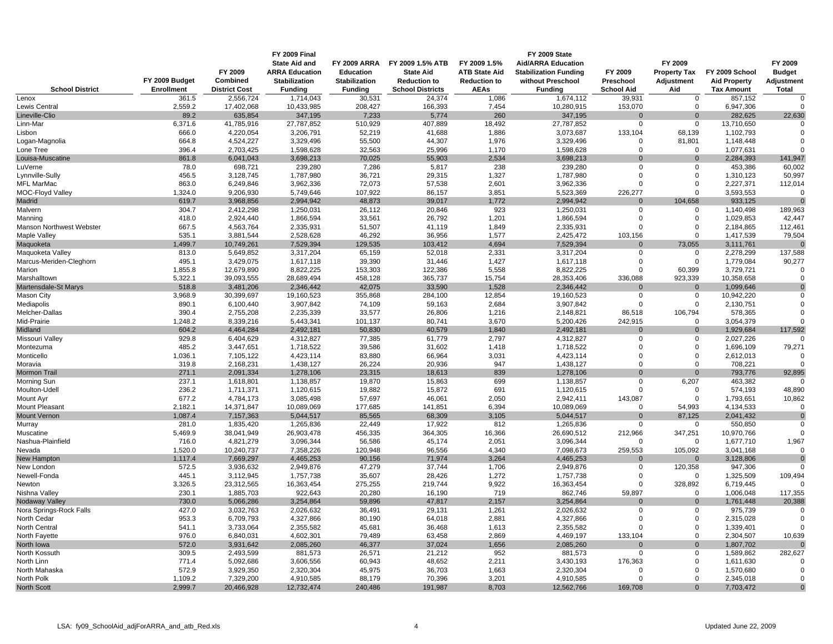|                                     | FY 2009 Budget     | FY 2009<br>Combined     | FY 2009 Final<br><b>State Aid and</b><br><b>ARRA Education</b><br><b>Stabilization</b> | <b>FY 2009 ARRA</b><br><b>Education</b><br><b>Stabilization</b> | FY 2009 1.5% ATB<br><b>State Aid</b><br><b>Reduction to</b> | FY 2009 1.5%<br><b>ATB State Aid</b><br><b>Reduction to</b> | FY 2009 State<br><b>Aid/ARRA Education</b><br><b>Stabilization Funding</b><br>without Preschool | FY 2009<br>Preschool       | FY 2009<br><b>Property Tax</b><br>Adjustment | FY 2009 School<br><b>Aid Property</b> | FY 2009<br><b>Budget</b><br>Adjustment |
|-------------------------------------|--------------------|-------------------------|----------------------------------------------------------------------------------------|-----------------------------------------------------------------|-------------------------------------------------------------|-------------------------------------------------------------|-------------------------------------------------------------------------------------------------|----------------------------|----------------------------------------------|---------------------------------------|----------------------------------------|
| <b>School District</b>              | <b>Enrollment</b>  | <b>District Cost</b>    | <b>Funding</b>                                                                         | <b>Funding</b>                                                  | <b>School Districts</b>                                     | <b>AEAs</b>                                                 | <b>Funding</b>                                                                                  | <b>School Aid</b>          | Aid                                          | <b>Tax Amount</b>                     | Total                                  |
| Lenox                               | 361.5              | 2,556,724               | 1,714,043                                                                              | 30,531                                                          | 24,374                                                      | 1,086                                                       | 1,674,112                                                                                       | 39,931                     | 0                                            | 857,152                               | $\mathbf 0$                            |
| Lewis Central                       | 2,559.2            | 17,402,068              | 10,433,985                                                                             | 208,427                                                         | 166,393                                                     | 7,454                                                       | 10,280,915                                                                                      | 153,070                    | 0                                            | 6,947,306                             | $\Omega$                               |
| Lineville-Clio                      | 89.2               | 635,854                 | 347,195                                                                                | 7,233                                                           | 5,774                                                       | 260                                                         | 347,195                                                                                         | $\Omega$                   | $\Omega$                                     | 282,625                               | 22,630                                 |
| Linn-Mar                            | 6,371.6            | 41,785,916              | 27,787,852                                                                             | 510,929                                                         | 407,889                                                     | 18,492                                                      | 27,787,852                                                                                      | $\mathbf 0$                | 0                                            | 13,710,650                            | $\Omega$                               |
| Lisbon<br>Logan-Magnolia            | 666.0<br>664.8     | 4,220,054<br>4,524,227  | 3,206,791<br>3,329,496                                                                 | 52,219<br>55,500                                                | 41,688<br>44,307                                            | 1,886<br>1,976                                              | 3,073,687<br>3,329,496                                                                          | 133,104<br>0               | 68,139<br>81,801                             | 1,102,793<br>1,148,448                | $\mathbf 0$                            |
| one Tree                            | 396.4              | 2,703,425               | 1,598,628                                                                              | 32,563                                                          | 25,996                                                      | 1,170                                                       | 1,598,628                                                                                       | $\mathbf 0$                | 0                                            | 1,077,631                             | $\Omega$                               |
| Louisa-Muscatine                    | 861.8              | 6,041,043               | 3,698,213                                                                              | 70,025                                                          | 55,903                                                      | 2,534                                                       | 3,698,213                                                                                       | $\overline{0}$             | $\mathbf 0$                                  | 2,284,393                             | 141,947                                |
| LuVerne                             | 78.0               | 698,721                 | 239,280                                                                                | 7,286                                                           | 5,817                                                       | 238                                                         | 239,280                                                                                         | $\Omega$                   | $\mathbf 0$                                  | 453,386                               | 60,002                                 |
| Lynnville-Sully                     | 456.5              | 3,128,745               | 1,787,980                                                                              | 36,721                                                          | 29,315                                                      | 1,327                                                       | 1,787,980                                                                                       | $\Omega$                   | $\mathbf 0$                                  | 1,310,123                             | 50,997                                 |
| <b>MFL MarMac</b>                   | 863.0              | 6,249,846               | 3,962,336                                                                              | 72,073                                                          | 57,538                                                      | 2,601                                                       | 3,962,336                                                                                       | $\Omega$                   | $\mathbf 0$                                  | 2,227,371                             | 112,014                                |
| MOC-Floyd Valley                    | 1,324.0            | 9,206,930               | 5,749,646                                                                              | 107,922                                                         | 86,157                                                      | 3,851                                                       | 5,523,369                                                                                       | 226,277                    | $\mathbf 0$                                  | 3,593,553                             | $\mathbf 0$                            |
| Madrid                              | 619.7              | 3,968,856               | 2,994,942                                                                              | 48,873                                                          | 39,017                                                      | 1,772                                                       | 2,994,942                                                                                       | $\mathbf 0$                | 104,658                                      | 933,125                               | $\Omega$                               |
| Malvern                             | 304.7              | 2,412,298               | 1,250,031                                                                              | 26,112                                                          | 20,846                                                      | 923                                                         | 1,250,031                                                                                       | $\mathbf 0$<br>$\mathbf 0$ | 0<br>0                                       | 1,140,498                             | 189,963                                |
| Manning<br>Manson Northwest Webster | 418.0<br>667.5     | 2,924,440<br>4,563,764  | 1,866,594<br>2,335,931                                                                 | 33,561<br>51,507                                                | 26,792<br>41,119                                            | 1,201<br>1,849                                              | 1,866,594<br>2,335,931                                                                          | $\Omega$                   | 0                                            | 1,029,853<br>2,184,865                | 42,447<br>112,461                      |
| Maple Valley                        | 535.1              | 3,881,544               | 2,528,628                                                                              | 46,292                                                          | 36,956                                                      | 1,577                                                       | 2,425,472                                                                                       | 103,156                    | $\mathbf 0$                                  | 1,417,539                             | 79,504                                 |
| Maquoketa                           | 1,499.7            | 10,749,261              | 7,529,394                                                                              | 129,535                                                         | 103,412                                                     | 4,694                                                       | 7,529,394                                                                                       | $\Omega$                   | 73,055                                       | 3,111,761                             | $\Omega$                               |
| Maquoketa Valley                    | 813.0              | 5,649,852               | 3,317,204                                                                              | 65,159                                                          | 52,018                                                      | 2,331                                                       | 3,317,204                                                                                       | $\mathbf 0$                | 0                                            | 2,278,299                             | 137,588                                |
| Marcus-Meriden-Cleghorn             | 495.1              | 3,429,075               | 1,617,118                                                                              | 39,390                                                          | 31,446                                                      | 1,427                                                       | 1,617,118                                                                                       | $\Omega$                   | $\mathbf 0$                                  | 1,779,084                             | 90,277                                 |
| Marion                              | 1,855.8            | 12,679,890              | 8,822,225                                                                              | 153,303                                                         | 122,386                                                     | 5,558                                                       | 8,822,225                                                                                       | 0                          | 60,399                                       | 3,729,721                             |                                        |
| Marshalltown                        | 5,322.1            | 39,093,555              | 28,689,494                                                                             | 458,128                                                         | 365,737                                                     | 15,754                                                      | 28,353,406                                                                                      | 336,088                    | 923,339                                      | 10,358,658                            | $\Omega$                               |
| Martensdale-St Marys                | 518.8              | 3,481,206               | 2,346,442                                                                              | 42,075                                                          | 33,590                                                      | 1,528                                                       | 2,346,442                                                                                       | $\Omega$                   | $\mathbf{0}$                                 | 1,099,646                             | $\Omega$                               |
| Mason City                          | 3,968.9            | 30,399,697              | 19,160,523                                                                             | 355,868                                                         | 284,100                                                     | 12,854                                                      | 19,160,523                                                                                      | $\mathbf 0$                | $\mathbf 0$                                  | 10,942,220                            | $\mathbf 0$                            |
| Mediapolis                          | 890.1              | 6,100,440               | 3,907,842                                                                              | 74,109                                                          | 59,163                                                      | 2,684                                                       | 3,907,842                                                                                       | $\mathbf 0$                | 0                                            | 2,130,751                             | $\Omega$<br>$\Omega$                   |
| Melcher-Dallas<br>Mid-Prairie       | 390.4<br>1,248.2   | 2,755,208<br>8,339,216  | 2,235,339<br>5,443,341                                                                 | 33,577<br>101,137                                               | 26,806<br>80,741                                            | 1,216<br>3,670                                              | 2,148,821<br>5,200,426                                                                          | 86,518<br>242,915          | 106,794<br>$\Omega$                          | 578,365<br>3,054,379                  |                                        |
| Midland                             | 604.2              | 4,464,284               | 2,492,181                                                                              | 50,830                                                          | 40,579                                                      | 1,840                                                       | 2,492,181                                                                                       | $\Omega$                   | $\mathbf{0}$                                 | 1,929,684                             | 117,592                                |
| Missouri Valley                     | 929.8              | 6,404,629               | 4,312,827                                                                              | 77,385                                                          | 61,779                                                      | 2,797                                                       | 4,312,827                                                                                       | $\mathbf 0$                | $\mathbf 0$                                  | 2,027,226                             |                                        |
| Montezuma                           | 485.2              | 3,447,651               | 1,718,522                                                                              | 39,586                                                          | 31,602                                                      | 1,418                                                       | 1,718,522                                                                                       | $\Omega$                   | 0                                            | 1,696,109                             | 79,271                                 |
| Monticello                          | 1,036.1            | 7,105,122               | 4,423,114                                                                              | 83,880                                                          | 66,964                                                      | 3,031                                                       | 4,423,114                                                                                       | $\Omega$                   | 0                                            | 2,612,013                             | $\Omega$                               |
| Moravia                             | 319.8              | 2,168,231               | 1,438,127                                                                              | 26,224                                                          | 20,936                                                      | 947                                                         | 1,438,127                                                                                       | $\mathbf 0$                | $\mathbf 0$                                  | 708,221                               |                                        |
| <b>Mormon Trail</b>                 | 271.1              | 2,091,334               | 1,278,106                                                                              | 23,315                                                          | 18,613                                                      | 839                                                         | 1,278,106                                                                                       | $\overline{0}$             | $\mathbf 0$                                  | 793,776                               | 92,895                                 |
| Morning Sun                         | 237.1              | 1,618,801               | 1,138,857                                                                              | 19,870                                                          | 15,863                                                      | 699                                                         | 1,138,857                                                                                       | $\mathbf 0$                | 6,207                                        | 463,382                               | $\Omega$                               |
| Moulton-Udell                       | 236.2              | 1,711,371               | 1,120,615                                                                              | 19,882                                                          | 15,872                                                      | 691                                                         | 1,120,615                                                                                       | $\mathbf 0$                | 0                                            | 574,193                               | 48,890                                 |
| Mount Ayr<br><b>Mount Pleasant</b>  | 677.2<br>2,182.1   | 4,784,173<br>14,371,847 | 3,085,498<br>10,089,069                                                                | 57,697<br>177,685                                               | 46,061<br>141,851                                           | 2,050<br>6,394                                              | 2,942,411<br>10,089,069                                                                         | 143,087<br>$\Omega$        | 0<br>54,993                                  | 1,793,651<br>4,134,533                | 10,862<br>$\Omega$                     |
| <b>Mount Vernon</b>                 | 1,087.4            | 7,157,363               | 5,044,517                                                                              | 85,565                                                          | 68,309                                                      | 3,105                                                       | 5,044,517                                                                                       | $\Omega$                   | 87,125                                       | 2,041,432                             | $\Omega$                               |
| Murray                              | 281.0              | 1,835,420               | 1,265,836                                                                              | 22,449                                                          | 17,922                                                      | 812                                                         | 1,265,836                                                                                       | $\Omega$                   | 0                                            | 550,850                               | $\Omega$                               |
| Muscatine                           | 5,469.9            | 38,041,949              | 26,903,478                                                                             | 456,335                                                         | 364,305                                                     | 16,366                                                      | 26,690,512                                                                                      | 212,966                    | 347,251                                      | 10,970,766                            | $\Omega$                               |
| Nashua-Plainfield                   | 716.0              | 4,821,279               | 3,096,344                                                                              | 56,586                                                          | 45,174                                                      | 2,051                                                       | 3,096,344                                                                                       | $\Omega$                   | $\mathbf 0$                                  | 1,677,710                             | 1,967                                  |
| Nevada                              | 1,520.0            | 10,240,737              | 7,358,226                                                                              | 120,948                                                         | 96,556                                                      | 4,340                                                       | 7,098,673                                                                                       | 259,553                    | 105,092                                      | 3,041,168                             | $\Omega$                               |
| New Hampton                         | 1,117.4            | 7,669,297               | 4,465,253                                                                              | 90,156                                                          | 71,974                                                      | 3,264                                                       | 4,465,253                                                                                       | $\Omega$                   | $\mathbf 0$                                  | 3,128,806                             | $\overline{0}$                         |
| New London                          | 572.5              | 3,936,632               | 2,949,876                                                                              | 47,279                                                          | 37,744                                                      | 1,706                                                       | 2,949,876                                                                                       | $\mathbf 0$                | 120,358                                      | 947,306                               | $\Omega$                               |
| Newell-Fonda                        | 445.1              | 3,112,945               | 1,757,738                                                                              | 35,607                                                          | 28,426                                                      | 1,272                                                       | 1,757,738                                                                                       | $\mathbf 0$<br>$\Omega$    | 0                                            | 1,325,509                             | 109,494<br>$\Omega$                    |
| Newton<br>Nishna Valley             | 3,326.5<br>230.1   | 23,312,565<br>1,885,703 | 16,363,454<br>922,643                                                                  | 275,255<br>20,280                                               | 219,744<br>16,190                                           | 9,922<br>719                                                | 16,363,454<br>862,746                                                                           | 59,897                     | 328,892<br>0                                 | 6,719,445<br>1,006,048                | 117,355                                |
| Nodaway Valley                      | 730.0              | 5,066,286               | 3,254,864                                                                              | 59,896                                                          | 47,817                                                      | 2,157                                                       | 3,254,864                                                                                       | $\Omega$                   | $\mathbf{0}$                                 | 1,761,448                             | 20,388                                 |
| Nora Springs-Rock Falls             | 427.0              | 3,032,763               | 2,026,632                                                                              | 36,491                                                          | 29,131                                                      | 1,261                                                       | 2,026,632                                                                                       | $\Omega$                   | $\mathbf 0$                                  | 975,739                               |                                        |
| North Cedar                         | 953.3              | 6,709,793               | 4,327,866                                                                              | 80,190                                                          | 64,018                                                      | 2,881                                                       | 4,327,866                                                                                       | $\Omega$                   | $\mathbf 0$                                  | 2,315,028                             | $\Omega$                               |
| North Central                       | 541.1              | 3,733,064               | 2,355,582                                                                              | 45,681                                                          | 36,468                                                      | 1,613                                                       | 2,355,582                                                                                       | $\Omega$                   | 0                                            | 1,339,401                             |                                        |
| North Fayette                       | 976.0              | 6,840,031               | 4,602,301                                                                              | 79,489                                                          | 63,458                                                      | 2,869                                                       | 4,469,197                                                                                       | 133,104                    | $\mathbf 0$                                  | 2,304,507                             | 10,639                                 |
| North Iowa                          | 572.0              | 3,931,642               | 2,085,260                                                                              | 46,377                                                          | 37,024                                                      | 1,656                                                       | 2,085,260                                                                                       | $\Omega$                   | $\mathbf 0$                                  | 1,807,702                             | $\Omega$                               |
| North Kossuth                       | 309.5              | 2,493,599               | 881,573                                                                                | 26,571                                                          | 21,212                                                      | 952                                                         | 881,573                                                                                         | 0                          | 0                                            | 1,589,862                             | 282,627                                |
| North Linn                          | 771.4              | 5,092,686               | 3,606,556                                                                              | 60,943                                                          | 48,652                                                      | 2,211                                                       | 3,430,193                                                                                       | 176,363                    | 0                                            | 1,611,630                             |                                        |
| North Mahaska                       | 572.9              | 3,929,350<br>7,329,200  | 2,320,304                                                                              | 45,975                                                          | 36,703                                                      | 1,663<br>3,201                                              | 2,320,304                                                                                       | $\Omega$<br>$\Omega$       | $\mathbf 0$<br>$\mathbf 0$                   | 1,570,680                             | $\Omega$<br>$\Omega$                   |
| North Polk<br><b>North Scott</b>    | 1,109.2<br>2,999.7 | 20,466,928              | 4,910,585<br>12,732,474                                                                | 88,179<br>240,486                                               | 70,396<br>191,987                                           | 8,703                                                       | 4,910,585<br>12,562,766                                                                         | 169,708                    | $\mathbf{0}$                                 | 2,345,018<br>7,703,472                | $\overline{0}$                         |
|                                     |                    |                         |                                                                                        |                                                                 |                                                             |                                                             |                                                                                                 |                            |                                              |                                       |                                        |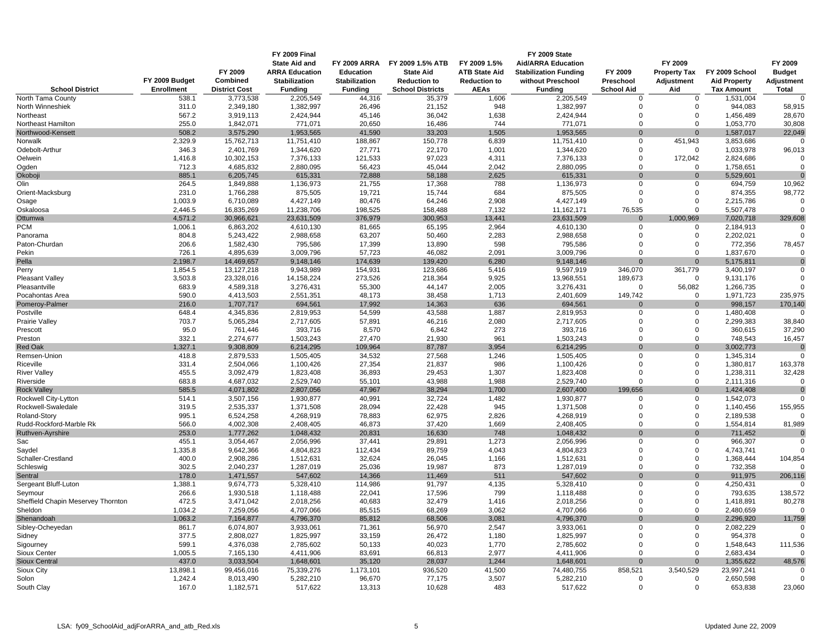|                                             |                     |                                   | <b>FY 2009 Final</b>        |                          |                                   |                      | FY 2009 State                |                               |                            |                                |                          |
|---------------------------------------------|---------------------|-----------------------------------|-----------------------------|--------------------------|-----------------------------------|----------------------|------------------------------|-------------------------------|----------------------------|--------------------------------|--------------------------|
|                                             |                     |                                   | <b>State Aid and</b>        | <b>FY 2009 ARRA</b>      | FY 2009 1.5% ATB                  | FY 2009 1.5%         | <b>Aid/ARRA Education</b>    |                               | FY 2009                    |                                | FY 2009                  |
|                                             |                     | FY 2009                           | <b>ARRA Education</b>       | Education                | <b>State Aid</b>                  | <b>ATB State Aid</b> | <b>Stabilization Funding</b> | FY 2009                       | <b>Property Tax</b>        | FY 2009 School                 | <b>Budget</b>            |
|                                             | FY 2009 Budget      | Combined                          | <b>Stabilization</b>        | <b>Stabilization</b>     | <b>Reduction to</b>               | <b>Reduction to</b>  | without Preschool            | Preschool                     | Adjustment                 | <b>Aid Property</b>            | Adjustment               |
| <b>School District</b><br>North Tama County | Enrollment<br>538.1 | <b>District Cost</b><br>3,773,538 | <b>Funding</b><br>2,205,549 | <b>Funding</b><br>44,316 | <b>School Districts</b><br>35,379 | <b>AEAs</b><br>1,606 | <b>Funding</b><br>2,205,549  | <b>School Aid</b><br>$\Omega$ | Aid<br>$\Omega$            | <b>Tax Amount</b><br>1,531,004 | <b>Total</b><br>$\Omega$ |
| North Winneshiek                            | 311.0               | 2,349,180                         | 1,382,997                   | 26,496                   | 21,152                            | 948                  | 1,382,997                    | $\Omega$                      | $\mathbf 0$                | 944,083                        | 58,915                   |
| Northeast                                   | 567.2               | 3,919,113                         | 2,424,944                   | 45,146                   | 36,042                            | 1,638                | 2,424,944                    | $\Omega$                      | $\mathbf 0$                | 1,456,489                      | 28,670                   |
| Northeast Hamilton                          | 255.0               | 1,842,071                         | 771,071                     | 20,650                   | 16,486                            | 744                  | 771,071                      | $\Omega$                      | $\Omega$                   | 1,053,770                      | 30,808                   |
| Northwood-Kensett                           | 508.2               | 3,575,290                         | 1,953,565                   | 41,590                   | 33,203                            | 1,505                | 1,953,565                    | $\Omega$                      | $\Omega$                   | 1,587,017                      | 22,049                   |
| Norwalk                                     | 2,329.9             | 15,762,713                        | 11,751,410                  | 188,867                  | 150,778                           | 6,839                | 11,751,410                   | $\Omega$                      | 451,943                    | 3,853,686                      | $\Omega$                 |
| Odebolt-Arthur                              | 346.3               | 2,401,769                         | 1,344,620                   | 27,771                   | 22,170                            | 1,001                | 1,344,620                    | $\mathbf 0$                   | $\mathbf 0$                | 1,033,978                      | 96,013                   |
| Oelwein                                     | 1,416.8             | 10,302,153                        | 7,376,133                   | 121,533                  | 97,023                            | 4,311                | 7,376,133                    | $\mathbf 0$                   | 172,042                    | 2,824,686                      | $\mathbf 0$              |
| Ogden                                       | 712.3               | 4,685,832                         | 2,880,095                   | 56,423                   | 45,044                            | 2,042                | 2,880,095                    | $\Omega$                      | $\Omega$                   | 1,758,651                      | $\Omega$                 |
| Okoboji                                     | 885.1               | 6,205,745                         | 615,331                     | 72,888                   | 58,188                            | 2,625                | 615,331                      |                               | $\Omega$                   | 5,529,601                      | $\Omega$                 |
| Olin                                        | 264.5               | 1,849,888                         | 1,136,973                   | 21,755                   | 17,368                            | 788                  | 1,136,973                    | $\mathbf 0$                   | $\Omega$                   | 694,759                        | 10,962                   |
| Orient-Macksburg                            | 231.0               | 1,766,288                         | 875,505                     | 19,721                   | 15,744                            | 684                  | 875,505                      | $\mathbf 0$                   | $\mathbf 0$                | 874,355                        | 98,772                   |
| Osage                                       | 1,003.9             | 6,710,089                         | 4,427,149                   | 80,476                   | 64,246                            | 2,908                | 4,427,149                    | $\Omega$                      | $\Omega$                   | 2,215,786                      | $\Omega$                 |
| Oskaloosa                                   | 2,446.5             | 16,835,269                        | 11,238,706                  | 198,525                  | 158,488                           | 7,132                | 11, 162, 171                 | 76,535                        | $\mathbf 0$                | 5,507,478                      | $\Omega$                 |
| Ottumwa                                     | 4,571.2             | 30,966,621                        | 23,631,509                  | 376,979                  | 300,953                           | 13,441               | 23,631,509                   | $\Omega$                      | 1,000,969                  | 7,020,718                      | 329,608                  |
| <b>PCM</b>                                  | 1,006.1             | 6,863,202                         | 4,610,130                   | 81,665                   | 65,195                            | 2,964                | 4,610,130                    | $\mathbf 0$<br>$\Omega$       | $\mathbf 0$                | 2,184,913                      | $\mathbf 0$<br>$\Omega$  |
| Panorama<br>Paton-Churdan                   | 804.8<br>206.6      | 5,243,422<br>1,582,430            | 2,988,658<br>795,586        | 63,207<br>17,399         | 50,460<br>13,890                  | 2,283<br>598         | 2,988,658<br>795,586         | $\Omega$                      | $\mathbf 0$<br>$\Omega$    | 2,202,021<br>772,356           | 78,457                   |
| Pekin                                       | 726.1               | 4,895,639                         | 3,009,796                   | 57,723                   | 46,082                            | 2,091                | 3,009,796                    | $\Omega$                      | $\Omega$                   | 1,837,670                      | $\Omega$                 |
| Pella                                       | 2,198.7             | 14,469,657                        | 9,148,146                   | 174,639                  | 139,420                           | 6,280                | 9,148,146                    | $\Omega$                      | $\Omega$                   | 5,175,811                      | $\Omega$                 |
| Perry                                       | 1,854.5             | 13, 127, 218                      | 9,943,989                   | 154,931                  | 123,686                           | 5,416                | 9,597,919                    | 346,070                       | 361,779                    | 3,400,197                      | $\Omega$                 |
| <b>Pleasant Valley</b>                      | 3,503.8             | 23,328,016                        | 14, 158, 224                | 273,526                  | 218,364                           | 9,925                | 13,968,551                   | 189,673                       | $\mathbf 0$                | 9,131,176                      | $\mathbf 0$              |
| Pleasantville                               | 683.9               | 4,589,318                         | 3,276,431                   | 55,300                   | 44,147                            | 2,005                | 3,276,431                    | $\mathbf 0$                   | 56,082                     | 1,266,735                      | $\Omega$                 |
| Pocahontas Area                             | 590.0               | 4,413,503                         | 2,551,351                   | 48,173                   | 38,458                            | 1,713                | 2,401,609                    | 149,742                       | $\mathbf 0$                | 1,971,723                      | 235,975                  |
| Pomeroy-Palmer                              | 216.0               | 1,707,717                         | 694,561                     | 17,992                   | 14,363                            | 636                  | 694,561                      | $\overline{0}$                | $\mathbf{0}$               | 998,157                        | 170,140                  |
| Postville                                   | 648.4               | 4,345,836                         | 2,819,953                   | 54,599                   | 43,588                            | 1,887                | 2,819,953                    | 0                             | 0                          | 1,480,408                      | $\Omega$                 |
| Prairie Valley                              | 703.7               | 5,065,284                         | 2,717,605                   | 57,891                   | 46,216                            | 2,080                | 2,717,605                    | $\Omega$                      | $\Omega$                   | 2,299,383                      | 38,840                   |
| Prescott                                    | 95.0                | 761,446                           | 393,716                     | 8,570                    | 6,842                             | 273                  | 393,716                      | $\Omega$                      | $\Omega$                   | 360,615                        | 37.290                   |
| Preston                                     | 332.1               | 2,274,677                         | 1,503,243                   | 27,470                   | 21,930                            | 961                  | 1,503,243                    | $\mathbf 0$                   | $\Omega$                   | 748,543                        | 16,457                   |
| <b>Red Oak</b>                              | 1,327.1             | 9,308,809                         | 6,214,295                   | 109,964                  | 87,787                            | 3,954                | 6,214,295                    | $\Omega$                      | $\mathbf{0}$               | 3,002,773                      | $\overline{0}$           |
| Remsen-Union                                | 418.8               | 2,879,533                         | 1,505,405                   | 34,532                   | 27,568                            | 1,246                | 1,505,405                    | $\Omega$                      | $\mathbf 0$                | 1,345,314                      | $\Omega$                 |
| Riceville                                   | 331.4               | 2,504,066                         | 1,100,426                   | 27,354                   | 21,837                            | 986                  | 1,100,426                    | $\Omega$                      | $\mathbf 0$                | 1,380,817                      | 163,378                  |
| <b>River Valley</b>                         | 455.5               | 3,092,479                         | 1,823,408                   | 36,893                   | 29,453                            | 1,307                | 1,823,408                    | $\Omega$                      | $\mathbf 0$                | 1,238,311                      | 32,428                   |
| Riverside                                   | 683.8               | 4,687,032                         | 2,529,740                   | 55,101                   | 43,988                            | 1,988                | 2,529,740                    | $\Omega$                      | $\Omega$                   | 2,111,316                      | $\mathbf 0$              |
| <b>Rock Valley</b>                          | 585.5               | 4,071,802                         | 2,807,056                   | 47,967                   | 38,294                            | 1,700                | 2,607,400                    | 199,656                       | $\mathbf{0}$               | 1,424,408                      | $\overline{0}$           |
| Rockwell City-Lytton                        | 514.1               | 3,507,156                         | 1,930,877                   | 40,991                   | 32,724                            | 1,482                | 1,930,877                    | 0                             | 0                          | 1,542,073                      | $\Omega$                 |
| Rockwell-Swaledale                          | 319.5               | 2,535,337                         | 1,371,508                   | 28,094                   | 22,428                            | 945                  | 1,371,508                    | $\Omega$                      | 0                          | 1,140,456                      | 155,955                  |
| Roland-Story                                | 995.1               | 6,524,258                         | 4,268,919                   | 78,883                   | 62,975                            | 2,826                | 4,268,919                    | $\Omega$                      | $\Omega$                   | 2,189,538                      |                          |
| Rudd-Rockford-Marble Rk                     | 566.0               | 4,002,308                         | 2,408,405                   | 46,873                   | 37,420                            | 1,669                | 2,408,405                    | $\Omega$                      | $\Omega$                   | 1,554,814                      | 81,989                   |
| Ruthven-Ayrshire                            | 253.0               | 1,777,262                         | 1,048,432                   | 20,831                   | 16,630                            | 748                  | 1,048,432                    | $\Omega$                      | $\mathbf{0}$               | 711,452                        | $\overline{0}$           |
| Sac                                         | 455.1<br>1,335.8    | 3,054,467<br>9,642,366            | 2,056,996<br>4,804,823      | 37,441<br>112,434        | 29,891<br>89,759                  | 1,273<br>4,043       | 2,056,996                    | $\mathbf 0$<br>$\Omega$       | $\mathbf 0$<br>$\mathbf 0$ | 966,307<br>4,743,741           | $\mathbf 0$              |
| Saydel<br>Schaller-Crestland                | 400.0               | 2,908,286                         | 1,512,631                   | 32,624                   | 26,045                            | 1,166                | 4,804,823<br>1,512,631       | $\mathbf 0$                   | $\mathbf 0$                | 1,368,444                      | 104,854                  |
| Schleswig                                   | 302.5               | 2,040,237                         | 1,287,019                   | 25,036                   | 19,987                            | 873                  | 1,287,019                    | $\mathbf 0$                   | $\mathbf 0$                | 732,358                        | $\Omega$                 |
| Sentral                                     | 178.0               | 1,471,557                         | 547,602                     | 14,366                   | 11,469                            | 511                  | 547,602                      | $\Omega$                      | $\Omega$                   | 911,975                        | 206,116                  |
| Sergeant Bluff-Luton                        | 1,388.1             | 9,674,773                         | 5,328,410                   | 114,986                  | 91,797                            | 4,135                | 5,328,410                    | 0                             | $\Omega$                   | 4,250,431                      |                          |
| Seymour                                     | 266.6               | 1,930,518                         | 1,118,488                   | 22,041                   | 17,596                            | 799                  | 1,118,488                    | $\Omega$                      | $\Omega$                   | 793,635                        | 138,572                  |
| Sheffield Chapin Meservey Thornton          | 472.5               | 3,471,042                         | 2,018,256                   | 40,683                   | 32,479                            | 1,416                | 2,018,256                    | $\Omega$                      | $\mathbf 0$                | 1,418,891                      | 80,278                   |
| Sheldon                                     | 1,034.2             | 7,259,056                         | 4,707,066                   | 85,515                   | 68,269                            | 3,062                | 4,707,066                    | $\mathbf 0$                   | $\Omega$                   | 2,480,659                      |                          |
| Shenandoah                                  | 1,063.2             | 7,164,877                         | 4,796,370                   | 85,812                   | 68,506                            | 3,081                | 4,796,370                    | $\Omega$                      | $\Omega$                   | 2,296,920                      | 11,759                   |
| Sibley-Ocheyedan                            | 861.7               | 6,074,807                         | 3,933,061                   | 71,361                   | 56,970                            | 2,547                | 3,933,061                    | $\mathbf 0$                   | 0                          | 2,082,229                      | $\Omega$                 |
| Sidney                                      | 377.5               | 2,808,027                         | 1,825,997                   | 33,159                   | 26,472                            | 1,180                | 1,825,997                    | $\Omega$                      | $\Omega$                   | 954,378                        |                          |
| Sigourney                                   | 599.1               | 4,376,038                         | 2,785,602                   | 50,133                   | 40,023                            | 1,770                | 2,785,602                    | $\Omega$                      | $\mathbf 0$                | 1,548,643                      | 111,536                  |
| Sioux Center                                | 1,005.5             | 7,165,130                         | 4,411,906                   | 83,691                   | 66,813                            | 2,977                | 4,411,906                    | 0                             | $\mathbf 0$                | 2,683,434                      |                          |
| <b>Sioux Central</b>                        | 437.0               | 3,033,504                         | 1,648,601                   | 35,120                   | 28,037                            | 1,244                | 1,648,601                    | $\Omega$                      | $\Omega$                   | 1,355,622                      | 48,576                   |
| Sioux City                                  | 13,898.1            | 99,456,016                        | 75,339,276                  | 1,173,101                | 936,520                           | 41,500               | 74,480,755                   | 858.521                       | 3.540.529                  | 23,997,241                     |                          |
| Solon                                       | 1,242.4             | 8,013,490                         | 5,282,210                   | 96,670                   | 77,175                            | 3,507                | 5,282,210                    | $\Omega$                      | $\Omega$                   | 2,650,598                      | $\Omega$                 |
| South Clay                                  | 167.0               | 1,182,571                         | 517,622                     | 13,313                   | 10,628                            | 483                  | 517,622                      | $\mathbf 0$                   | $\Omega$                   | 653,838                        | 23,060                   |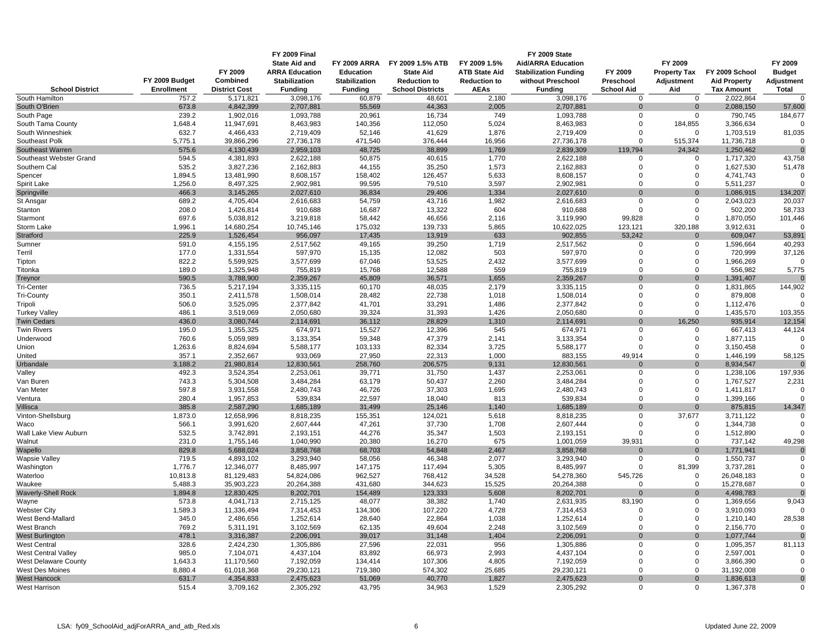|                                          |                     |                          | <b>FY 2009 Final</b><br><b>State Aid and</b> | <b>FY 2009 ARRA</b>  | FY 2009 1.5% ATB        | FY 2009 1.5%         | FY 2009 State<br><b>Aid/ARRA Education</b> |                   | FY 2009                    |                         | FY 2009                 |
|------------------------------------------|---------------------|--------------------------|----------------------------------------------|----------------------|-------------------------|----------------------|--------------------------------------------|-------------------|----------------------------|-------------------------|-------------------------|
|                                          |                     | FY 2009                  | <b>ARRA Education</b>                        | Education            | <b>State Aid</b>        | <b>ATB State Aid</b> | <b>Stabilization Funding</b>               | FY 2009           | <b>Property Tax</b>        | FY 2009 School          | <b>Budget</b>           |
|                                          | FY 2009 Budget      | Combined                 | <b>Stabilization</b>                         | <b>Stabilization</b> | <b>Reduction to</b>     | <b>Reduction to</b>  | without Preschool                          | Preschool         | Adjustment                 | <b>Aid Property</b>     | Adjustment              |
| <b>School District</b>                   | <b>Enrollment</b>   | <b>District Cost</b>     | <b>Funding</b>                               | <b>Funding</b>       | <b>School Districts</b> | <b>AEAs</b>          | <b>Funding</b>                             | <b>School Aid</b> | Aid                        | <b>Tax Amount</b>       | <b>Total</b>            |
| South Hamilton                           | 757.2               | $\overline{5,17}$ 1,821  | 3,098,176                                    | 60,879               | 48,601                  | 2,180                | 3,098,176                                  | $\overline{0}$    | $\overline{0}$             | 2,022,864               | $\Omega$                |
| South O'Brien                            | 673.8               | 4,842,399                | 2,707,881                                    | 55,569               | 44,363                  | 2,005                | 2,707,881                                  | 0                 | $\mathbf{0}$               | 2,088,150               | 57,600                  |
| South Page                               | 239.2               | 1,902,016                | 1,093,788                                    | 20,961               | 16,734                  | 749                  | 1,093,788                                  | $\Omega$          | $\Omega$                   | 790,745                 | 184,677                 |
| South Tama County                        | 1,648.4             | 11,947,691               | 8,463,983                                    | 140,356              | 112,050                 | 5,024                | 8,463,983                                  | $\Omega$          | 184,855                    | 3,366,634               |                         |
| South Winneshiek                         | 632.7               | 4,466,433                | 2,719,409                                    | 52,146               | 41,629                  | 1,876                | 2,719,409                                  | $\Omega$          | $\mathbf 0$                | 1,703,519               | 81,035                  |
| Southeast Polk                           | 5,775.1             | 39,866,296               | 27,736,178                                   | 471,540              | 376,444                 | 16,956               | 27,736,178                                 | $\Omega$          | 515,374                    | 11,736,718              | $\mathbf 0$             |
| Southeast Warren                         | 575.6               | 4,130,439                | 2,959,103                                    | 48,725               | 38,899                  | 1,769                | 2,839,309                                  | 119,794           | 24,342                     | 1,250,462               | $\Omega$                |
| Southeast Webster Grand<br>Southern Cal  | 594.5<br>535.2      | 4,381,893<br>3,827,236   | 2,622,188<br>2,162,883                       | 50,875<br>44,155     | 40,615<br>35,250        | 1,770<br>1,573       | 2,622,188<br>2,162,883                     | 0<br>$\Omega$     | $\mathbf 0$<br>$\mathbf 0$ | 1,717,320<br>1,627,530  | 43,758<br>51,478        |
| Spencer                                  | 1,894.5             | 13,481,990               | 8,608,157                                    | 158,402              | 126,457                 | 5,633                | 8,608,157                                  | $\Omega$          | $\Omega$                   | 4,741,743               |                         |
| Spirit Lake                              | 1,256.0             | 8,497,325                | 2,902,981                                    | 99,595               | 79,510                  | 3,597                | 2,902,981                                  | $\Omega$          | $\Omega$                   | 5,511,237               | $\Omega$                |
| Springville                              | 466.3               | 3,145,265                | 2,027,610                                    | 36,834               | 29,406                  | 1,334                | 2,027,610                                  | $\Omega$          | $\Omega$                   | 1,086,915               | 134,207                 |
| St Ansgar                                | 689.2               | 4,705,404                | 2,616,683                                    | 54,759               | 43,716                  | 1,982                | 2,616,683                                  | $\Omega$          | $\Omega$                   | 2,043,023               | 20,037                  |
| Stanton                                  | 208.0               | 1,426,814                | 910,688                                      | 16,687               | 13,322                  | 604                  | 910,688                                    | $\Omega$          | $\mathbf 0$                | 502,200                 | 58,733                  |
| Starmont                                 | 697.6               | 5,038,812                | 3,219,818                                    | 58,442               | 46,656                  | 2,116                | 3,119,990                                  | 99,828            | $\mathbf 0$                | 1,870,050               | 101,446                 |
| Storm Lake                               | 1,996.1             | 14,680,254               | 10,745,146                                   | 175,032              | 139,733                 | 5,865                | 10,622,025                                 | 123,121           | 320,188                    | 3,912,631               |                         |
| Stratford                                | 225.9               | 1,526,454                | 956,097                                      | 17,435               | 13,919                  | 633                  | 902,855                                    | 53,242            | $\Omega$                   | 609,047                 | 53,891                  |
| Sumner                                   | 591.0               | 4,155,195                | 2,517,562                                    | 49,165               | 39,250                  | 1,719                | 2,517,562                                  | 0                 | $\Omega$                   | 1,596,664               | 40,293                  |
| Terril                                   | 177.0               | 1,331,554                | 597,970                                      | 15,135               | 12,082                  | 503                  | 597,970                                    | $\Omega$          | $\Omega$                   | 720,999                 | 37,126                  |
| Tipton                                   | 822.2               | 5,599,925                | 3,577,699                                    | 67,046               | 53,525                  | 2,432                | 3,577,699                                  | $\Omega$          | $\mathbf 0$                | 1,966,269               |                         |
| Titonka                                  | 189.0               | 1,325,948                | 755,819                                      | 15,768               | 12,588                  | 559                  | 755,819                                    | $\Omega$          | $\Omega$                   | 556,982                 | 5,775                   |
| Treynor                                  | 590.5               | 3,788,900                | 2,359,267                                    | 45,809               | 36,571                  | 1,655                | 2,359,267                                  | $\Omega$          | $\mathbf{0}$               | 1,391,407               | $\Omega$                |
| <b>Tri-Center</b>                        | 736.5               | 5,217,194                | 3,335,115                                    | 60,170               | 48,035                  | 2,179                | 3,335,115                                  | $\mathbf 0$       | $\mathbf 0$                | 1,831,865               | 144,902                 |
| <b>Tri-County</b>                        | 350.1               | 2,411,578                | 1,508,014                                    | 28,482               | 22,738                  | 1,018                | 1,508,014                                  | $\Omega$          | $\mathbf 0$                | 879,808                 | $\Omega$                |
| Tripoli                                  | 506.0               | 3,525,095                | 2,377,842                                    | 41,701               | 33,291                  | 1,486                | 2,377,842                                  | $\Omega$          | $\mathbf 0$                | 1,112,476               |                         |
| <b>Turkey Valley</b>                     | 486.1               | 3,519,069                | 2,050,680                                    | 39,324               | 31,393                  | 1,426                | 2,050,680                                  | 0<br>$\Omega$     | $\mathbf 0$                | 1,435,570               | 103,355                 |
| <b>Twin Cedars</b><br><b>Twin Rivers</b> | 436.0<br>195.0      | 3,080,744<br>1,355,325   | 2,114,691<br>674,971                         | 36,112<br>15,527     | 28,829<br>12,396        | 1,310<br>545         | 2,114,691<br>674,971                       | $\Omega$          | 16,250<br>$\Omega$         | 935,914<br>667,413      | 12,154<br>44,124        |
| Underwood                                | 760.6               | 5,059,989                | 3,133,354                                    | 59,348               | 47,379                  | 2,141                | 3,133,354                                  | $\Omega$          | $\mathbf 0$                | 1,877,115               | $\Omega$                |
| Union                                    | 1,263.6             | 8,824,694                | 5,588,177                                    | 103,133              | 82,334                  | 3,725                | 5,588,177                                  | $\Omega$          | $\Omega$                   | 3,150,458               |                         |
| United                                   | 357.1               | 2,352,667                | 933,069                                      | 27,950               | 22,313                  | 1,000                | 883,155                                    | 49.914            | $\Omega$                   | 1,446,199               | 58.125                  |
| Urbandale                                | 3,188.2             | 21,980,814               | 12,830,561                                   | 258,760              | 206,575                 | 9,131                | 12,830,561                                 | $\Omega$          | $\Omega$                   | 8,934,547               |                         |
| Valley                                   | 492.3               | 3,524,354                | 2,253,061                                    | 39,771               | 31,750                  | 1,437                | 2,253,061                                  | 0                 | $\mathbf 0$                | 1,238,106               | 197,936                 |
| Van Buren                                | 743.3               | 5,304,508                | 3,484,284                                    | 63,179               | 50,437                  | 2,260                | 3,484,284                                  | $\Omega$          | $\mathbf 0$                | 1,767,527               | 2,231                   |
| Van Meter                                | 597.8               | 3,931,558                | 2,480,743                                    | 46,726               | 37,303                  | 1,695                | 2,480,743                                  | $\Omega$          | $\mathbf 0$                | 1,411,817               | $\mathbf 0$             |
| Ventura                                  | 280.4               | 1,957,853                | 539,834                                      | 22,597               | 18,040                  | 813                  | 539,834                                    | $\Omega$          | $\Omega$                   | 1,399,166               | $\Omega$                |
| Villisca                                 | 385.8               | 2,587,290                | 1,685,189                                    | 31,499               | 25,146                  | 1,140                | 1,685,189                                  | $\Omega$          | $\Omega$                   | 875,815                 | 14,347                  |
| Vinton-Shellsburg                        | 1,873.0             | 12,658,996               | 8,818,235                                    | 155,351              | 124,021                 | 5,618                | 8,818,235                                  | $\Omega$          | 37,677                     | 3,711,122               |                         |
| Waco                                     | 566.1               | 3,991,620                | 2,607,444                                    | 47,261               | 37,730                  | 1,708                | 2,607,444                                  | $\Omega$          | $\mathbf 0$                | 1,344,738               | $\Omega$                |
| Wall Lake View Auburn                    | 532.5               | 3,742,891                | 2,193,151                                    | 44,276               | 35,347                  | 1,503                | 2,193,151                                  | 0                 | $\mathbf 0$                | 1,512,890               | $\Omega$                |
| Walnut                                   | 231.0               | 1,755,146                | 1,040,990                                    | 20,380               | 16,270                  | 675                  | 1,001,059                                  | 39,931            | $\mathbf 0$                | 737,142                 | 49,298                  |
| Wapello                                  | 829.8               | 5,688,024                | 3,858,768                                    | 68,703               | 54,848                  | 2,467                | 3,858,768                                  | $\Omega$          | $\Omega$                   | 1,771,941               | $\Omega$                |
| <b>Wapsie Valley</b>                     | 719.5               | 4,893,102                | 3,293,940                                    | 58,056               | 46,348                  | 2,077                | 3,293,940                                  | 0<br>$\Omega$     | $\mathbf 0$                | 1,550,737               | $\mathbf 0$<br>$\Omega$ |
| Washington<br>Waterloo                   | 1,776.7<br>10,813.8 | 12,346,077<br>81,129,483 | 8,485,997<br>54,824,086                      | 147,175<br>962,527   | 117,494<br>768,412      | 5,305<br>34,528      | 8,485,997<br>54,278,360                    | 545,726           | 81,399<br>$\mathbf 0$      | 3,737,281<br>26,048,183 | $\mathbf 0$             |
| Waukee                                   | 5,488.3             | 35,903,223               | 20,264,388                                   | 431,680              | 344,623                 | 15,525               | 20,264,388                                 | $\Omega$          | $\Omega$                   | 15,278,687              | $\Omega$                |
| <b>Waverly-Shell Rock</b>                | 1,894.8             | 12,830,425               | 8,202,701                                    | 154,489              | 123,333                 | 5,608                | 8,202,701                                  | $\Omega$          | $\mathbf{0}$               | 4,498,783               | $\Omega$                |
| Wayne                                    | 573.8               | 4,041,713                | 2,715,125                                    | 48,077               | 38,382                  | 1,740                | 2,631,935                                  | 83,190            | $\Omega$                   | 1,369,656               | 9,043                   |
| <b>Webster City</b>                      | 1,589.3             | 11,336,494               | 7,314,453                                    | 134,306              | 107,220                 | 4,728                | 7,314,453                                  | $\Omega$          | $\Omega$                   | 3,910,093               |                         |
| West Bend-Mallard                        | 345.0               | 2,486,656                | 1,252,614                                    | 28,640               | 22,864                  | 1,038                | 1,252,614                                  | $\Omega$          | $\mathbf 0$                | 1,210,140               | 28,538                  |
| West Branch                              | 769.2               | 5,311,191                | 3,102,569                                    | 62,135               | 49,604                  | 2,248                | 3,102,569                                  | $\Omega$          | $\mathbf 0$                | 2,156,770               | $\Omega$                |
| <b>West Burlington</b>                   | 478.1               | 3,316,387                | 2,206,091                                    | 39,017               | 31,148                  | 1,404                | 2,206,091                                  | $\Omega$          | $\Omega$                   | 1,077,744               | $\Omega$                |
| <b>West Central</b>                      | 328.6               | 2,424,230                | 1,305,886                                    | 27,596               | 22,031                  | 956                  | 1,305,886                                  | 0                 | 0                          | 1,095,357               | 81,113                  |
| <b>West Central Valley</b>               | 985.0               | 7,104,071                | 4,437,104                                    | 83,892               | 66,973                  | 2,993                | 4,437,104                                  | $\mathbf 0$       | $\mathbf 0$                | 2,597,001               |                         |
| <b>West Delaware County</b>              | 1,643.3             | 11,170,560               | 7,192,059                                    | 134,414              | 107,306                 | 4,805                | 7,192,059                                  | $\Omega$          | $\Omega$                   | 3,866,390               | $\Omega$                |
| <b>West Des Moines</b>                   | 8,880.4             | 61,018,368               | 29,230,121                                   | 719,380              | 574,302                 | 25,685               | 29,230,121                                 | $\Omega$          | $\Omega$                   | 31,192,008              | $\Omega$                |
| <b>West Hancock</b>                      | 631.7               | 4,354,833                | 2,475,623                                    | 51,069               | 40,770                  | 1,827                | 2,475,623                                  | $\Omega$          | $\Omega$                   | 1,836,613               | $\Omega$                |
| West Harrison                            | 515.4               | 3,709,162                | 2,305,292                                    | 43,795               | 34,963                  | 1,529                | 2,305,292                                  | $\mathbf 0$       | $\mathbf 0$                | 1,367,378               | $\Omega$                |